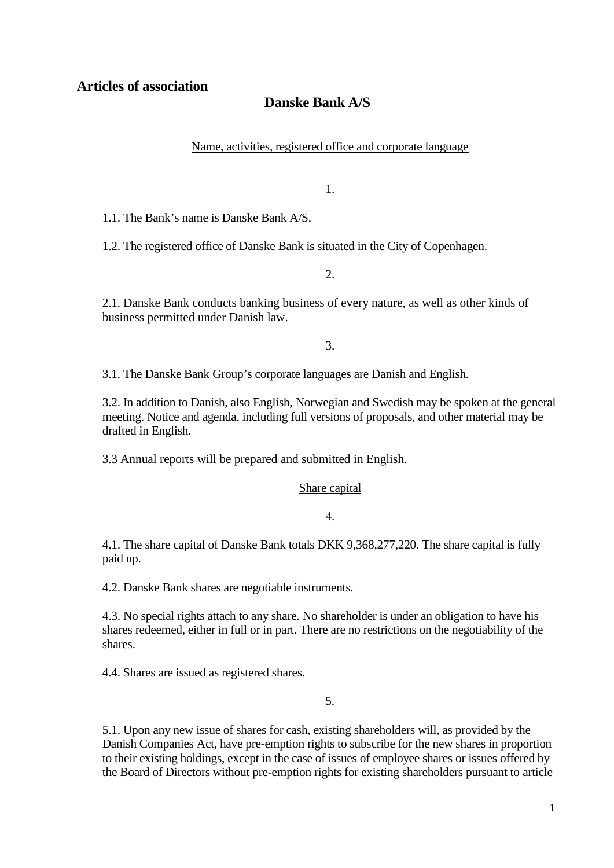# **Danske Bank A/S**

Name, activities, registered office and corporate language

1.

1.1. The Bank's name is Danske Bank A/S.

1.2. The registered office of Danske Bank is situated in the City of Copenhagen.

 $2^{\circ}$ 

2.1. Danske Bank conducts banking business of every nature, as well as other kinds of business permitted under Danish law.

3.

3.1. The Danske Bank Group's corporate languages are Danish and English.

3.2. In addition to Danish, also English, Norwegian and Swedish may be spoken at the general meeting. Notice and agenda, including full versions of proposals, and other material may be drafted in English.

3.3 Annual reports will be prepared and submitted in English.

## Share capital

4.

4.1. The share capital of Danske Bank totals DKK 9,368,277,220. The share capital is fully paid up.

4.2. Danske Bank shares are negotiable instruments.

4.3. No special rights attach to any share. No shareholder is under an obligation to have his shares redeemed, either in full or in part. There are no restrictions on the negotiability of the shares.

4.4. Shares are issued as registered shares.

5.

5.1. Upon any new issue of shares for cash, existing shareholders will, as provided by the Danish Companies Act, have pre-emption rights to subscribe for the new shares in proportion to their existing holdings, except in the case of issues of employee shares or issues offered by the Board of Directors without pre-emption rights for existing shareholders pursuant to article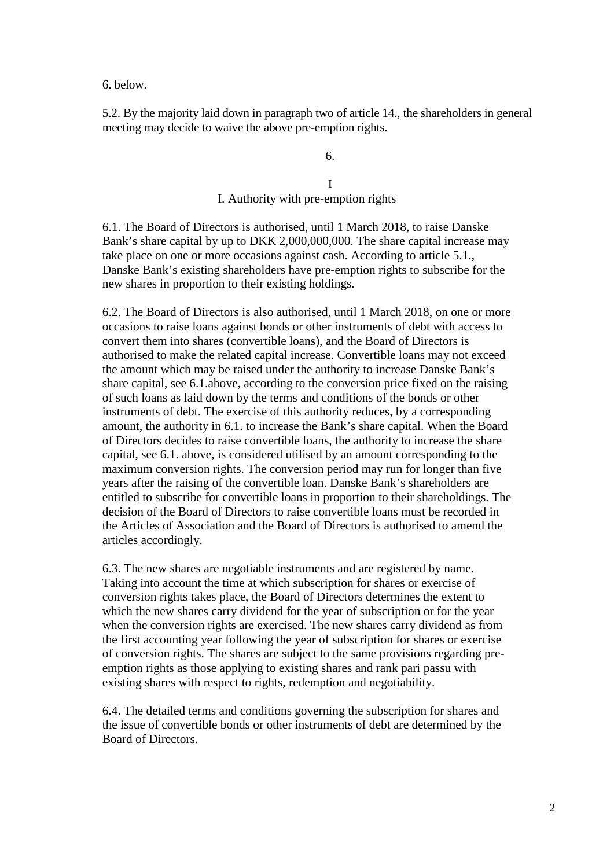6. below.

5.2. By the majority laid down in paragraph two of article 14., the shareholders in general meeting may decide to waive the above pre-emption rights.

6.

I

I. Authority with pre-emption rights

6.1. The Board of Directors is authorised, until 1 March 2018, to raise Danske Bank's share capital by up to DKK 2,000,000,000. The share capital increase may take place on one or more occasions against cash. According to article 5.1., Danske Bank's existing shareholders have pre-emption rights to subscribe for the new shares in proportion to their existing holdings.

6.2. The Board of Directors is also authorised, until 1 March 2018, on one or more occasions to raise loans against bonds or other instruments of debt with access to convert them into shares (convertible loans), and the Board of Directors is authorised to make the related capital increase. Convertible loans may not exceed the amount which may be raised under the authority to increase Danske Bank's share capital, see 6.1.above, according to the conversion price fixed on the raising of such loans as laid down by the terms and conditions of the bonds or other instruments of debt. The exercise of this authority reduces, by a corresponding amount, the authority in 6.1. to increase the Bank's share capital. When the Board of Directors decides to raise convertible loans, the authority to increase the share capital, see 6.1. above, is considered utilised by an amount corresponding to the maximum conversion rights. The conversion period may run for longer than five years after the raising of the convertible loan. Danske Bank's shareholders are entitled to subscribe for convertible loans in proportion to their shareholdings. The decision of the Board of Directors to raise convertible loans must be recorded in the Articles of Association and the Board of Directors is authorised to amend the articles accordingly.

6.3. The new shares are negotiable instruments and are registered by name. Taking into account the time at which subscription for shares or exercise of conversion rights takes place, the Board of Directors determines the extent to which the new shares carry dividend for the year of subscription or for the year when the conversion rights are exercised. The new shares carry dividend as from the first accounting year following the year of subscription for shares or exercise of conversion rights. The shares are subject to the same provisions regarding preemption rights as those applying to existing shares and rank pari passu with existing shares with respect to rights, redemption and negotiability.

6.4. The detailed terms and conditions governing the subscription for shares and the issue of convertible bonds or other instruments of debt are determined by the Board of Directors.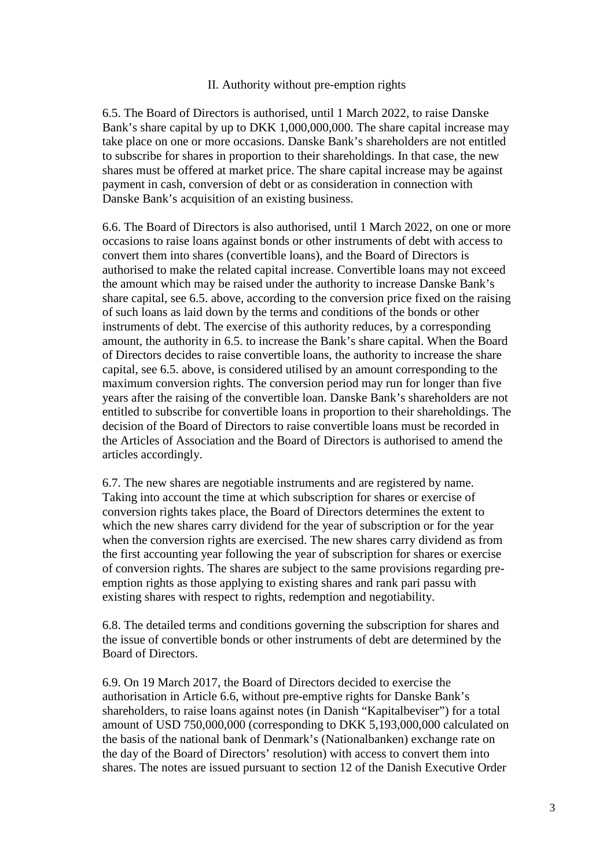## II. Authority without pre-emption rights

6.5. The Board of Directors is authorised, until 1 March 2022, to raise Danske Bank's share capital by up to DKK 1,000,000,000. The share capital increase may take place on one or more occasions. Danske Bank's shareholders are not entitled to subscribe for shares in proportion to their shareholdings. In that case, the new shares must be offered at market price. The share capital increase may be against payment in cash, conversion of debt or as consideration in connection with Danske Bank's acquisition of an existing business.

6.6. The Board of Directors is also authorised, until 1 March 2022, on one or more occasions to raise loans against bonds or other instruments of debt with access to convert them into shares (convertible loans), and the Board of Directors is authorised to make the related capital increase. Convertible loans may not exceed the amount which may be raised under the authority to increase Danske Bank's share capital, see 6.5. above, according to the conversion price fixed on the raising of such loans as laid down by the terms and conditions of the bonds or other instruments of debt. The exercise of this authority reduces, by a corresponding amount, the authority in 6.5. to increase the Bank's share capital. When the Board of Directors decides to raise convertible loans, the authority to increase the share capital, see 6.5. above, is considered utilised by an amount corresponding to the maximum conversion rights. The conversion period may run for longer than five years after the raising of the convertible loan. Danske Bank's shareholders are not entitled to subscribe for convertible loans in proportion to their shareholdings. The decision of the Board of Directors to raise convertible loans must be recorded in the Articles of Association and the Board of Directors is authorised to amend the articles accordingly.

6.7. The new shares are negotiable instruments and are registered by name. Taking into account the time at which subscription for shares or exercise of conversion rights takes place, the Board of Directors determines the extent to which the new shares carry dividend for the year of subscription or for the year when the conversion rights are exercised. The new shares carry dividend as from the first accounting year following the year of subscription for shares or exercise of conversion rights. The shares are subject to the same provisions regarding preemption rights as those applying to existing shares and rank pari passu with existing shares with respect to rights, redemption and negotiability.

6.8. The detailed terms and conditions governing the subscription for shares and the issue of convertible bonds or other instruments of debt are determined by the Board of Directors.

6.9. On 19 March 2017, the Board of Directors decided to exercise the authorisation in Article 6.6, without pre-emptive rights for Danske Bank's shareholders, to raise loans against notes (in Danish "Kapitalbeviser") for a total amount of USD 750,000,000 (corresponding to DKK 5,193,000,000 calculated on the basis of the national bank of Denmark's (Nationalbanken) exchange rate on the day of the Board of Directors' resolution) with access to convert them into shares. The notes are issued pursuant to section 12 of the Danish Executive Order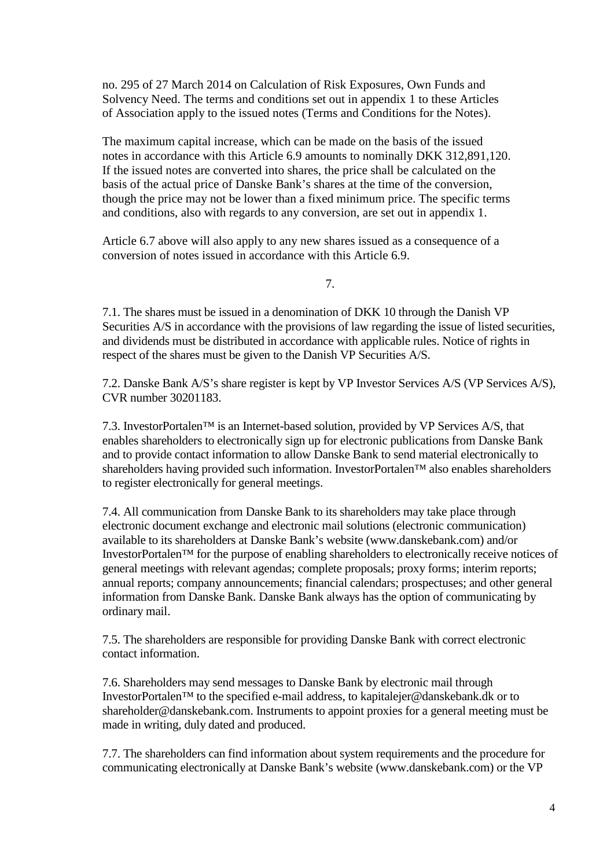no. 295 of 27 March 2014 on Calculation of Risk Exposures, Own Funds and Solvency Need. The terms and conditions set out in appendix 1 to these Articles of Association apply to the issued notes (Terms and Conditions for the Notes).

The maximum capital increase, which can be made on the basis of the issued notes in accordance with this Article 6.9 amounts to nominally DKK 312,891,120. If the issued notes are converted into shares, the price shall be calculated on the basis of the actual price of Danske Bank's shares at the time of the conversion, though the price may not be lower than a fixed minimum price. The specific terms and conditions, also with regards to any conversion, are set out in appendix 1.

Article 6.7 above will also apply to any new shares issued as a consequence of a conversion of notes issued in accordance with this Article 6.9.

7.

7.1. The shares must be issued in a denomination of DKK 10 through the Danish VP Securities A/S in accordance with the provisions of law regarding the issue of listed securities, and dividends must be distributed in accordance with applicable rules. Notice of rights in respect of the shares must be given to the Danish VP Securities A/S.

7.2. Danske Bank A/S's share register is kept by VP Investor Services A/S (VP Services A/S), CVR number 30201183.

7.3. InvestorPortalen™ is an Internet-based solution, provided by VP Services A/S, that enables shareholders to electronically sign up for electronic publications from Danske Bank and to provide contact information to allow Danske Bank to send material electronically to shareholders having provided such information. InvestorPortalen<sup>™</sup> also enables shareholders to register electronically for general meetings.

7.4. All communication from Danske Bank to its shareholders may take place through electronic document exchange and electronic mail solutions (electronic communication) available to its shareholders at Danske Bank's website (www.danskebank.com) and/or InvestorPortalen™ for the purpose of enabling shareholders to electronically receive notices of general meetings with relevant agendas; complete proposals; proxy forms; interim reports; annual reports; company announcements; financial calendars; prospectuses; and other general information from Danske Bank. Danske Bank always has the option of communicating by ordinary mail.

7.5. The shareholders are responsible for providing Danske Bank with correct electronic contact information.

7.6. Shareholders may send messages to Danske Bank by electronic mail through InvestorPortalen™ to the specified e-mail address, to kapitalejer@danskebank.dk or to shareholder@danskebank.com. Instruments to appoint proxies for a general meeting must be made in writing, duly dated and produced.

7.7. The shareholders can find information about system requirements and the procedure for communicating electronically at Danske Bank's website (www.danskebank.com) or the VP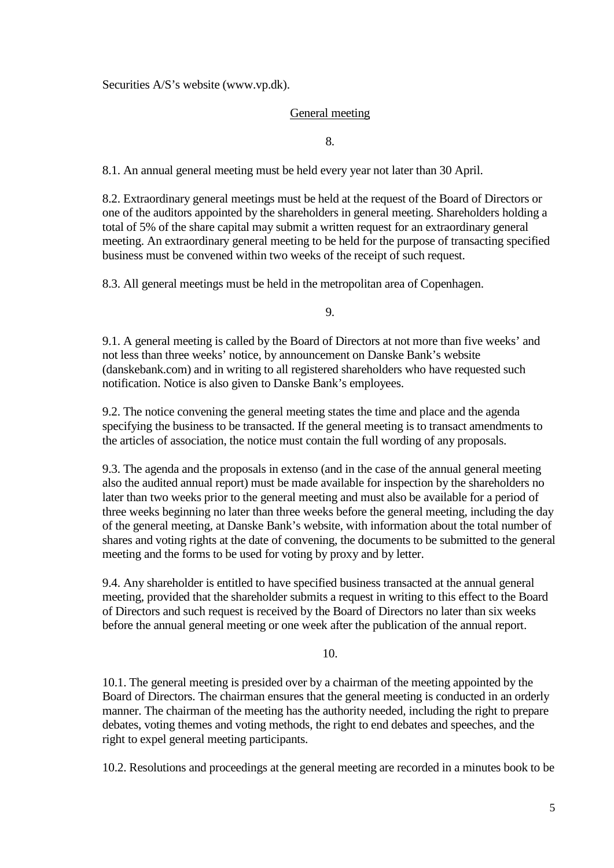Securities A/S's website [\(www.vp.dk\)](http://www.vp.dk/).

## General meeting

8.

8.1. An annual general meeting must be held every year not later than 30 April.

8.2. Extraordinary general meetings must be held at the request of the Board of Directors or one of the auditors appointed by the shareholders in general meeting. Shareholders holding a total of 5% of the share capital may submit a written request for an extraordinary general meeting. An extraordinary general meeting to be held for the purpose of transacting specified business must be convened within two weeks of the receipt of such request.

8.3. All general meetings must be held in the metropolitan area of Copenhagen.

9.

9.1. A general meeting is called by the Board of Directors at not more than five weeks' and not less than three weeks' notice, by announcement on Danske Bank's website [\(danskebank.com\)](http://www.danskebank.com/) and in writing to all registered shareholders who have requested such notification. Notice is also given to Danske Bank's employees.

9.2. The notice convening the general meeting states the time and place and the agenda specifying the business to be transacted. If the general meeting is to transact amendments to the articles of association, the notice must contain the full wording of any proposals.

9.3. The agenda and the proposals in extenso (and in the case of the annual general meeting also the audited annual report) must be made available for inspection by the shareholders no later than two weeks prior to the general meeting and must also be available for a period of three weeks beginning no later than three weeks before the general meeting, including the day of the general meeting, at Danske Bank's website, with information about the total number of shares and voting rights at the date of convening, the documents to be submitted to the general meeting and the forms to be used for voting by proxy and by letter.

9.4. Any shareholder is entitled to have specified business transacted at the annual general meeting, provided that the shareholder submits a request in writing to this effect to the Board of Directors and such request is received by the Board of Directors no later than six weeks before the annual general meeting or one week after the publication of the annual report.

### 10.

10.1. The general meeting is presided over by a chairman of the meeting appointed by the Board of Directors. The chairman ensures that the general meeting is conducted in an orderly manner. The chairman of the meeting has the authority needed, including the right to prepare debates, voting themes and voting methods, the right to end debates and speeches, and the right to expel general meeting participants.

10.2. Resolutions and proceedings at the general meeting are recorded in a minutes book to be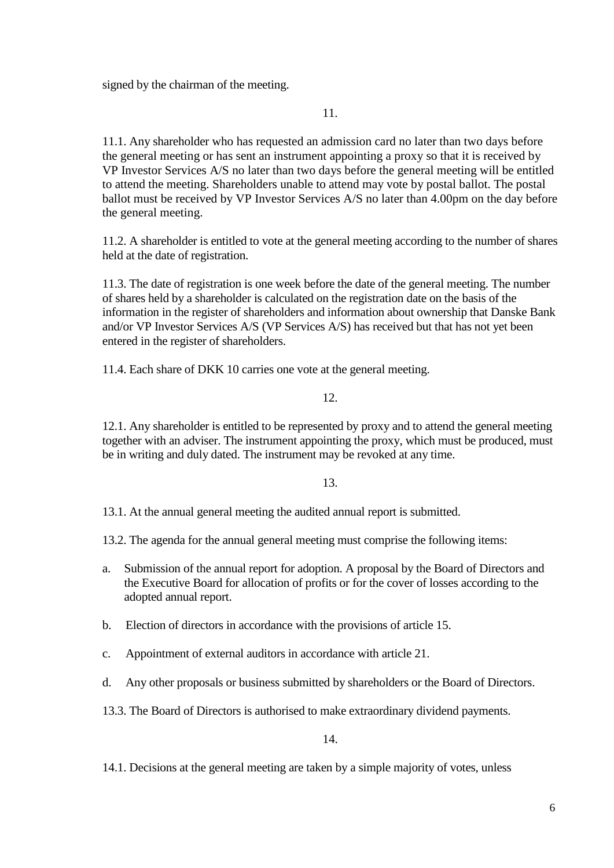signed by the chairman of the meeting.

11.

11.1. Any shareholder who has requested an admission card no later than two days before the general meeting or has sent an instrument appointing a proxy so that it is received by VP Investor Services A/S no later than two days before the general meeting will be entitled to attend the meeting. Shareholders unable to attend may vote by postal ballot. The postal ballot must be received by VP Investor Services A/S no later than 4.00pm on the day before the general meeting.

11.2. A shareholder is entitled to vote at the general meeting according to the number of shares held at the date of registration.

11.3. The date of registration is one week before the date of the general meeting. The number of shares held by a shareholder is calculated on the registration date on the basis of the information in the register of shareholders and information about ownership that Danske Bank and/or VP Investor Services A/S (VP Services A/S) has received but that has not yet been entered in the register of shareholders.

11.4. Each share of DKK 10 carries one vote at the general meeting.

## 12.

12.1. Any shareholder is entitled to be represented by proxy and to attend the general meeting together with an adviser. The instrument appointing the proxy, which must be produced, must be in writing and duly dated. The instrument may be revoked at any time.

## 13.

13.1. At the annual general meeting the audited annual report is submitted.

13.2. The agenda for the annual general meeting must comprise the following items:

- a. Submission of the annual report for adoption. A proposal by the Board of Directors and the Executive Board for allocation of profits or for the cover of losses according to the adopted annual report.
- b. Election of directors in accordance with the provisions of article 15.
- c. Appointment of external auditors in accordance with article 21.
- d. Any other proposals or business submitted by shareholders or the Board of Directors.
- 13.3. The Board of Directors is authorised to make extraordinary dividend payments.

14.

14.1. Decisions at the general meeting are taken by a simple majority of votes, unless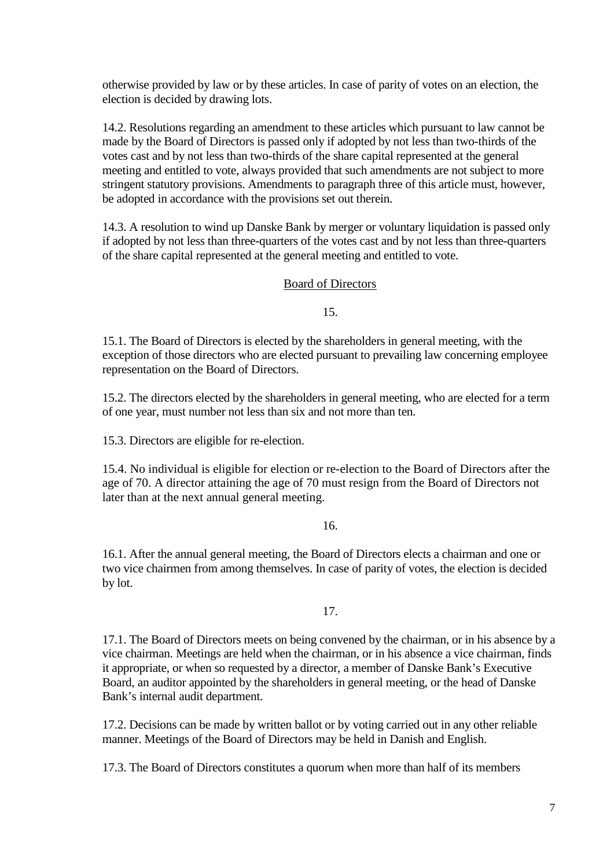otherwise provided by law or by these articles. In case of parity of votes on an election, the election is decided by drawing lots.

14.2. Resolutions regarding an amendment to these articles which pursuant to law cannot be made by the Board of Directors is passed only if adopted by not less than two-thirds of the votes cast and by not less than two-thirds of the share capital represented at the general meeting and entitled to vote, always provided that such amendments are not subject to more stringent statutory provisions. Amendments to paragraph three of this article must, however, be adopted in accordance with the provisions set out therein.

14.3. A resolution to wind up Danske Bank by merger or voluntary liquidation is passed only if adopted by not less than three-quarters of the votes cast and by not less than three-quarters of the share capital represented at the general meeting and entitled to vote.

## Board of Directors

15.

15.1. The Board of Directors is elected by the shareholders in general meeting, with the exception of those directors who are elected pursuant to prevailing law concerning employee representation on the Board of Directors.

15.2. The directors elected by the shareholders in general meeting, who are elected for a term of one year, must number not less than six and not more than ten.

15.3. Directors are eligible for re-election.

15.4. No individual is eligible for election or re-election to the Board of Directors after the age of 70. A director attaining the age of 70 must resign from the Board of Directors not later than at the next annual general meeting.

16.

16.1. After the annual general meeting, the Board of Directors elects a chairman and one or two vice chairmen from among themselves. In case of parity of votes, the election is decided by lot.

17.

17.1. The Board of Directors meets on being convened by the chairman, or in his absence by a vice chairman. Meetings are held when the chairman, or in his absence a vice chairman, finds it appropriate, or when so requested by a director, a member of Danske Bank's Executive Board, an auditor appointed by the shareholders in general meeting, or the head of Danske Bank's internal audit department.

17.2. Decisions can be made by written ballot or by voting carried out in any other reliable manner. Meetings of the Board of Directors may be held in Danish and English.

17.3. The Board of Directors constitutes a quorum when more than half of its members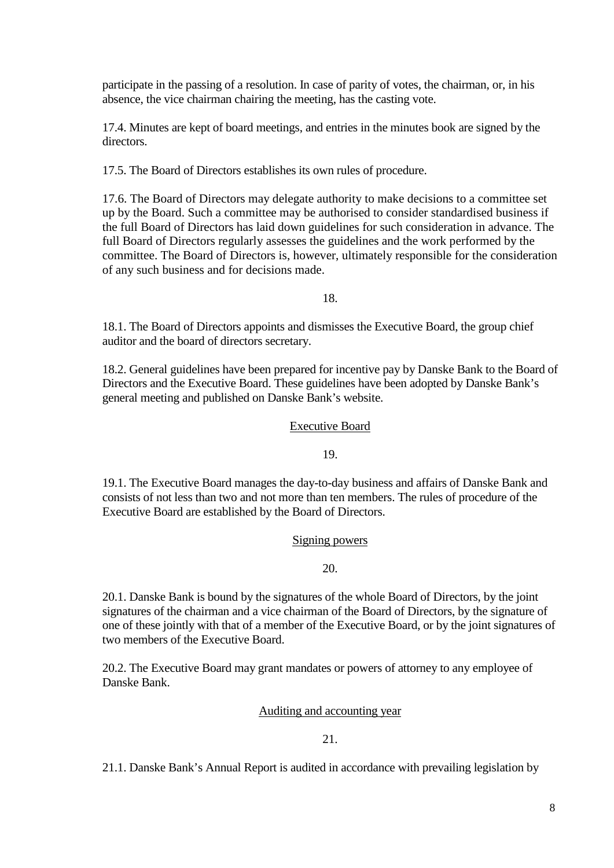participate in the passing of a resolution. In case of parity of votes, the chairman, or, in his absence, the vice chairman chairing the meeting, has the casting vote.

17.4. Minutes are kept of board meetings, and entries in the minutes book are signed by the directors.

17.5. The Board of Directors establishes its own rules of procedure.

17.6. The Board of Directors may delegate authority to make decisions to a committee set up by the Board. Such a committee may be authorised to consider standardised business if the full Board of Directors has laid down guidelines for such consideration in advance. The full Board of Directors regularly assesses the guidelines and the work performed by the committee. The Board of Directors is, however, ultimately responsible for the consideration of any such business and for decisions made.

18.

18.1. The Board of Directors appoints and dismisses the Executive Board, the group chief auditor and the board of directors secretary.

18.2. General guidelines have been prepared for incentive pay by Danske Bank to the Board of Directors and the Executive Board. These guidelines have been adopted by Danske Bank's general meeting and published on Danske Bank's website.

## Executive Board

19.

19.1. The Executive Board manages the day-to-day business and affairs of Danske Bank and consists of not less than two and not more than ten members. The rules of procedure of the Executive Board are established by the Board of Directors.

Signing powers

20.

20.1. Danske Bank is bound by the signatures of the whole Board of Directors, by the joint signatures of the chairman and a vice chairman of the Board of Directors, by the signature of one of these jointly with that of a member of the Executive Board, or by the joint signatures of two members of the Executive Board.

20.2. The Executive Board may grant mandates or powers of attorney to any employee of Danske Bank.

Auditing and accounting year

21.

21.1. Danske Bank's Annual Report is audited in accordance with prevailing legislation by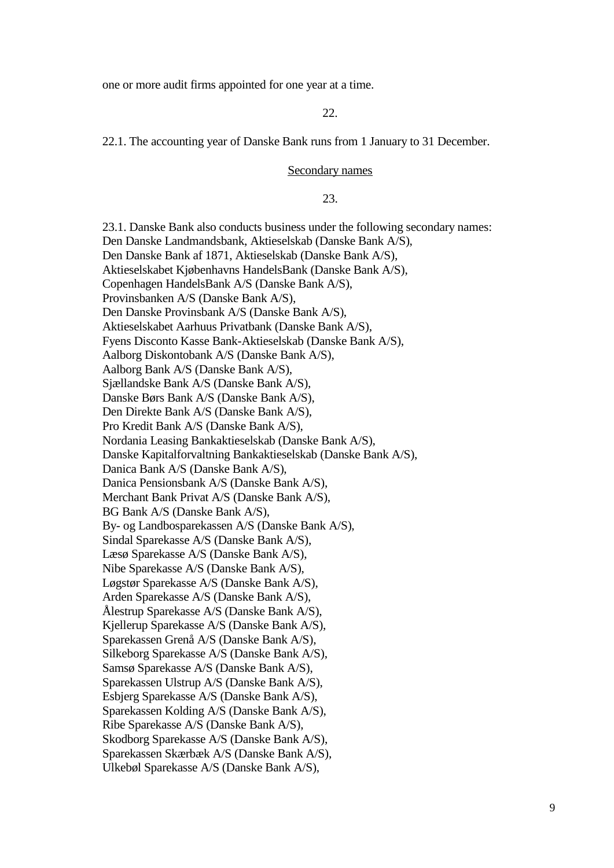one or more audit firms appointed for one year at a time.

22.

22.1. The accounting year of Danske Bank runs from 1 January to 31 December.

#### Secondary names

23.

23.1. Danske Bank also conducts business under the following secondary names: Den Danske Landmandsbank, Aktieselskab (Danske Bank A/S), Den Danske Bank af 1871, Aktieselskab (Danske Bank A/S), Aktieselskabet Kjøbenhavns HandelsBank (Danske Bank A/S), Copenhagen HandelsBank A/S (Danske Bank A/S), Provinsbanken A/S (Danske Bank A/S), Den Danske Provinsbank A/S (Danske Bank A/S), Aktieselskabet Aarhuus Privatbank (Danske Bank A/S), Fyens Disconto Kasse Bank-Aktieselskab (Danske Bank A/S), Aalborg Diskontobank A/S (Danske Bank A/S), Aalborg Bank A/S (Danske Bank A/S), Sjællandske Bank A/S (Danske Bank A/S), Danske Børs Bank A/S (Danske Bank A/S), Den Direkte Bank A/S (Danske Bank A/S), Pro Kredit Bank A/S (Danske Bank A/S), Nordania Leasing Bankaktieselskab (Danske Bank A/S), Danske Kapitalforvaltning Bankaktieselskab (Danske Bank A/S), Danica Bank A/S (Danske Bank A/S), Danica Pensionsbank A/S (Danske Bank A/S), Merchant Bank Privat A/S (Danske Bank A/S), BG Bank A/S (Danske Bank A/S), By- og Landbosparekassen A/S (Danske Bank A/S), Sindal Sparekasse A/S (Danske Bank A/S), Læsø Sparekasse A/S (Danske Bank A/S), Nibe Sparekasse A/S (Danske Bank A/S), Løgstør Sparekasse A/S (Danske Bank A/S), Arden Sparekasse A/S (Danske Bank A/S), Ålestrup Sparekasse A/S (Danske Bank A/S), Kjellerup Sparekasse A/S (Danske Bank A/S), Sparekassen Grenå A/S (Danske Bank A/S), Silkeborg Sparekasse A/S (Danske Bank A/S), Samsø Sparekasse A/S (Danske Bank A/S), Sparekassen Ulstrup A/S (Danske Bank A/S), Esbjerg Sparekasse A/S (Danske Bank A/S), Sparekassen Kolding A/S (Danske Bank A/S), Ribe Sparekasse A/S (Danske Bank A/S), Skodborg Sparekasse A/S (Danske Bank A/S), Sparekassen Skærbæk A/S (Danske Bank A/S), Ulkebøl Sparekasse A/S (Danske Bank A/S),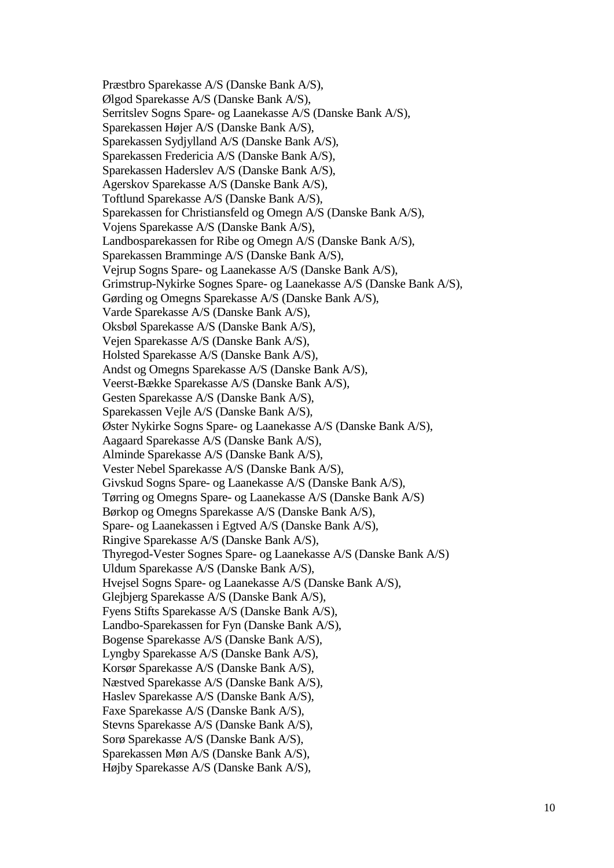Præstbro Sparekasse A/S (Danske Bank A/S), Ølgod Sparekasse A/S (Danske Bank A/S), Serritslev Sogns Spare- og Laanekasse A/S (Danske Bank A/S), Sparekassen Højer A/S (Danske Bank A/S), Sparekassen Sydjylland A/S (Danske Bank A/S), Sparekassen Fredericia A/S (Danske Bank A/S), Sparekassen Haderslev A/S (Danske Bank A/S), Agerskov Sparekasse A/S (Danske Bank A/S), Toftlund Sparekasse A/S (Danske Bank A/S), Sparekassen for Christiansfeld og Omegn A/S (Danske Bank A/S), Vojens Sparekasse A/S (Danske Bank A/S), Landbosparekassen for Ribe og Omegn A/S (Danske Bank A/S), Sparekassen Bramminge A/S (Danske Bank A/S), Vejrup Sogns Spare- og Laanekasse A/S (Danske Bank A/S), Grimstrup-Nykirke Sognes Spare- og Laanekasse A/S (Danske Bank A/S), Gørding og Omegns Sparekasse A/S (Danske Bank A/S), Varde Sparekasse A/S (Danske Bank A/S), Oksbøl Sparekasse A/S (Danske Bank A/S), Vejen Sparekasse A/S (Danske Bank A/S), Holsted Sparekasse A/S (Danske Bank A/S), Andst og Omegns Sparekasse A/S (Danske Bank A/S), Veerst-Bække Sparekasse A/S (Danske Bank A/S), Gesten Sparekasse A/S (Danske Bank A/S), Sparekassen Vejle A/S (Danske Bank A/S), Øster Nykirke Sogns Spare- og Laanekasse A/S (Danske Bank A/S), Aagaard Sparekasse A/S (Danske Bank A/S), Alminde Sparekasse A/S (Danske Bank A/S), Vester Nebel Sparekasse A/S (Danske Bank A/S), Givskud Sogns Spare- og Laanekasse A/S (Danske Bank A/S), Tørring og Omegns Spare- og Laanekasse A/S (Danske Bank A/S) Børkop og Omegns Sparekasse A/S (Danske Bank A/S), Spare- og Laanekassen i Egtved A/S (Danske Bank A/S), Ringive Sparekasse A/S (Danske Bank A/S), Thyregod-Vester Sognes Spare- og Laanekasse A/S (Danske Bank A/S) Uldum Sparekasse A/S (Danske Bank A/S), Hvejsel Sogns Spare- og Laanekasse A/S (Danske Bank A/S), Glejbjerg Sparekasse A/S (Danske Bank A/S), Fyens Stifts Sparekasse A/S (Danske Bank A/S), Landbo-Sparekassen for Fyn (Danske Bank A/S), Bogense Sparekasse A/S (Danske Bank A/S), Lyngby Sparekasse A/S (Danske Bank A/S), Korsør Sparekasse A/S (Danske Bank A/S), Næstved Sparekasse A/S (Danske Bank A/S), Haslev Sparekasse A/S (Danske Bank A/S), Faxe Sparekasse A/S (Danske Bank A/S), Stevns Sparekasse A/S (Danske Bank A/S), Sorø Sparekasse A/S (Danske Bank A/S), Sparekassen Møn A/S (Danske Bank A/S), Højby Sparekasse A/S (Danske Bank A/S),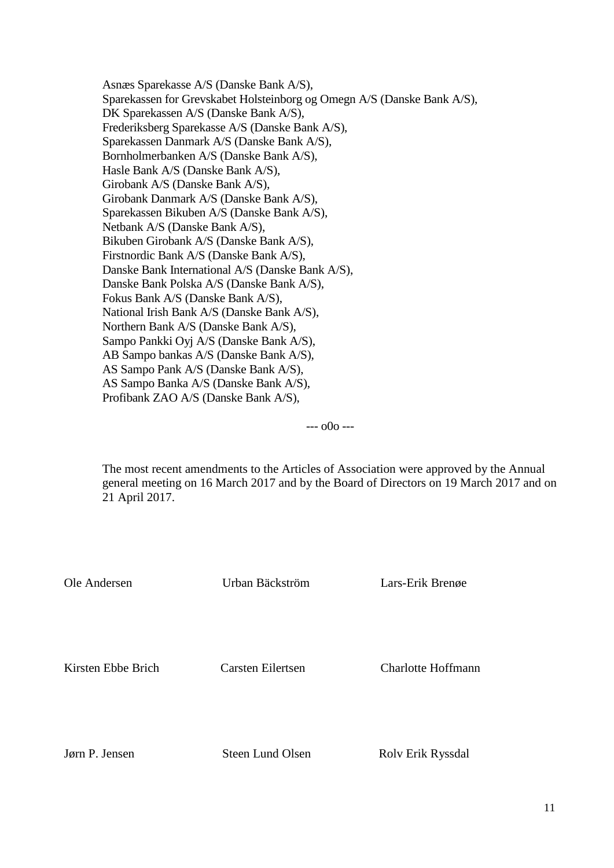Asnæs Sparekasse A/S (Danske Bank A/S), Sparekassen for Grevskabet Holsteinborg og Omegn A/S (Danske Bank A/S), DK Sparekassen A/S (Danske Bank A/S), Frederiksberg Sparekasse A/S (Danske Bank A/S), Sparekassen Danmark A/S (Danske Bank A/S), Bornholmerbanken A/S (Danske Bank A/S), Hasle Bank A/S (Danske Bank A/S), Girobank A/S (Danske Bank A/S), Girobank Danmark A/S (Danske Bank A/S), Sparekassen Bikuben A/S (Danske Bank A/S), Netbank A/S (Danske Bank A/S), Bikuben Girobank A/S (Danske Bank A/S), Firstnordic Bank A/S (Danske Bank A/S), Danske Bank International A/S (Danske Bank A/S), Danske Bank Polska A/S (Danske Bank A/S), Fokus Bank A/S (Danske Bank A/S), National Irish Bank A/S (Danske Bank A/S), Northern Bank A/S (Danske Bank A/S), Sampo Pankki Oyj A/S (Danske Bank A/S), AB Sampo bankas A/S (Danske Bank A/S), AS Sampo Pank A/S (Danske Bank A/S), AS Sampo Banka A/S (Danske Bank A/S), Profibank ZAO A/S (Danske Bank A/S),

--- o0o ---

The most recent amendments to the Articles of Association were approved by the Annual general meeting on 16 March 2017 and by the Board of Directors on 19 March 2017 and on 21 April 2017.

| Ole Andersen       | Urban Bäckström   | Lars-Erik Brenge          |
|--------------------|-------------------|---------------------------|
|                    |                   |                           |
| Kirsten Ebbe Brich | Carsten Eilertsen | <b>Charlotte Hoffmann</b> |
|                    |                   |                           |

Jørn P. Jensen Steen Lund Olsen Rolv Erik Ryssdal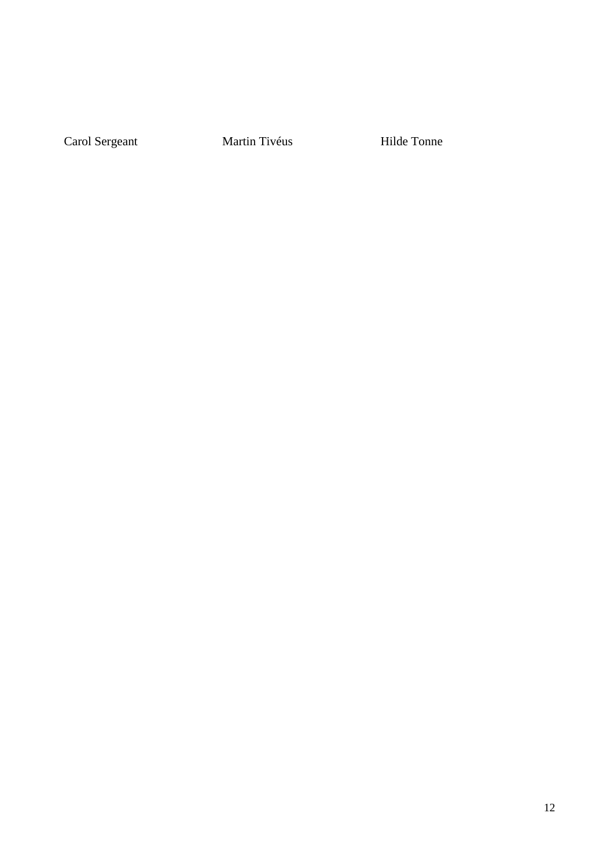Carol Sergeant Martin Tivéus Hilde Tonne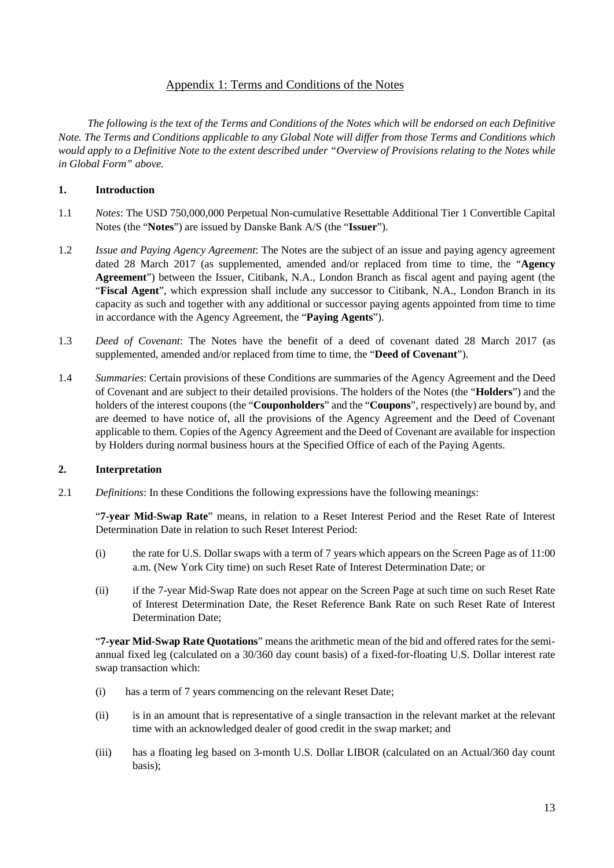## Appendix 1: Terms and Conditions of the Notes

*The following is the text of the Terms and Conditions of the Notes which will be endorsed on each Definitive Note. The Terms and Conditions applicable to any Global Note will differ from those Terms and Conditions which would apply to a Definitive Note to the extent described under "Overview of Provisions relating to the Notes while in Global Form" above.*

### **1. Introduction**

- 1.1 *Notes*: The USD 750,000,000 Perpetual Non-cumulative Resettable Additional Tier 1 Convertible Capital Notes (the "**Notes**") are issued by Danske Bank A/S (the "**Issuer**").
- 1.2 *Issue and Paying Agency Agreement*: The Notes are the subject of an issue and paying agency agreement dated 28 March 2017 (as supplemented, amended and/or replaced from time to time, the "**Agency Agreement**") between the Issuer, Citibank, N.A., London Branch as fiscal agent and paying agent (the "**Fiscal Agent**", which expression shall include any successor to Citibank, N.A., London Branch in its capacity as such and together with any additional or successor paying agents appointed from time to time in accordance with the Agency Agreement, the "**Paying Agents**").
- 1.3 *Deed of Covenant*: The Notes have the benefit of a deed of covenant dated 28 March 2017 (as supplemented, amended and/or replaced from time to time, the "**Deed of Covenant**").
- 1.4 *Summaries*: Certain provisions of these Conditions are summaries of the Agency Agreement and the Deed of Covenant and are subject to their detailed provisions. The holders of the Notes (the "**Holders**") and the holders of the interest coupons (the "**Couponholders**" and the "**Coupons**", respectively) are bound by, and are deemed to have notice of, all the provisions of the Agency Agreement and the Deed of Covenant applicable to them. Copies of the Agency Agreement and the Deed of Covenant are available for inspection by Holders during normal business hours at the Specified Office of each of the Paying Agents.

### **2. Interpretation**

2.1 *Definitions*: In these Conditions the following expressions have the following meanings:

"**7-year Mid-Swap Rate**" means, in relation to a Reset Interest Period and the Reset Rate of Interest Determination Date in relation to such Reset Interest Period:

- (i) the rate for U.S. Dollar swaps with a term of 7 years which appears on the Screen Page as of 11:00 a.m. (New York City time) on such Reset Rate of Interest Determination Date; or
- (ii) if the 7-year Mid-Swap Rate does not appear on the Screen Page at such time on such Reset Rate of Interest Determination Date, the Reset Reference Bank Rate on such Reset Rate of Interest Determination Date;

"**7-year Mid-Swap Rate Quotations**" means the arithmetic mean of the bid and offered rates for the semiannual fixed leg (calculated on a 30/360 day count basis) of a fixed-for-floating U.S. Dollar interest rate swap transaction which:

- (i) has a term of 7 years commencing on the relevant Reset Date;
- (ii) is in an amount that is representative of a single transaction in the relevant market at the relevant time with an acknowledged dealer of good credit in the swap market; and
- (iii) has a floating leg based on 3-month U.S. Dollar LIBOR (calculated on an Actual/360 day count basis);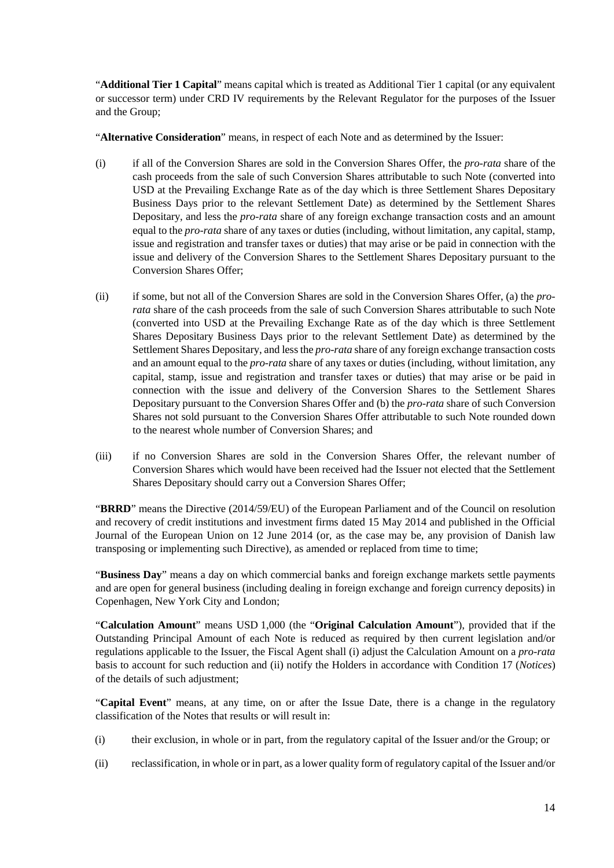"**Additional Tier 1 Capital**" means capital which is treated as Additional Tier 1 capital (or any equivalent or successor term) under CRD IV requirements by the Relevant Regulator for the purposes of the Issuer and the Group;

"**Alternative Consideration**" means, in respect of each Note and as determined by the Issuer:

- (i) if all of the Conversion Shares are sold in the Conversion Shares Offer, the *pro-rata* share of the cash proceeds from the sale of such Conversion Shares attributable to such Note (converted into USD at the Prevailing Exchange Rate as of the day which is three Settlement Shares Depositary Business Days prior to the relevant Settlement Date) as determined by the Settlement Shares Depositary, and less the *pro-rata* share of any foreign exchange transaction costs and an amount equal to the *pro-rata* share of any taxes or duties (including, without limitation, any capital, stamp, issue and registration and transfer taxes or duties) that may arise or be paid in connection with the issue and delivery of the Conversion Shares to the Settlement Shares Depositary pursuant to the Conversion Shares Offer;
- (ii) if some, but not all of the Conversion Shares are sold in the Conversion Shares Offer, (a) the *prorata* share of the cash proceeds from the sale of such Conversion Shares attributable to such Note (converted into USD at the Prevailing Exchange Rate as of the day which is three Settlement Shares Depositary Business Days prior to the relevant Settlement Date) as determined by the Settlement Shares Depositary, and less the *pro-rata* share of any foreign exchange transaction costs and an amount equal to the *pro-rata* share of any taxes or duties (including, without limitation, any capital, stamp, issue and registration and transfer taxes or duties) that may arise or be paid in connection with the issue and delivery of the Conversion Shares to the Settlement Shares Depositary pursuant to the Conversion Shares Offer and (b) the *pro-rata* share of such Conversion Shares not sold pursuant to the Conversion Shares Offer attributable to such Note rounded down to the nearest whole number of Conversion Shares; and
- (iii) if no Conversion Shares are sold in the Conversion Shares Offer, the relevant number of Conversion Shares which would have been received had the Issuer not elected that the Settlement Shares Depositary should carry out a Conversion Shares Offer;

"**BRRD**" means the Directive (2014/59/EU) of the European Parliament and of the Council on resolution and recovery of credit institutions and investment firms dated 15 May 2014 and published in the Official Journal of the European Union on 12 June 2014 (or, as the case may be, any provision of Danish law transposing or implementing such Directive), as amended or replaced from time to time;

"**Business Day**" means a day on which commercial banks and foreign exchange markets settle payments and are open for general business (including dealing in foreign exchange and foreign currency deposits) in Copenhagen, New York City and London;

"**Calculation Amount**" means USD 1,000 (the "**Original Calculation Amount**"), provided that if the Outstanding Principal Amount of each Note is reduced as required by then current legislation and/or regulations applicable to the Issuer, the Fiscal Agent shall (i) adjust the Calculation Amount on a *pro-rata* basis to account for such reduction and (ii) notify the Holders in accordance with Condition [17](#page-42-0) (*Notices*) of the details of such adjustment;

"**Capital Event**" means, at any time, on or after the Issue Date, there is a change in the regulatory classification of the Notes that results or will result in:

- (i) their exclusion, in whole or in part, from the regulatory capital of the Issuer and/or the Group; or
- (ii) reclassification, in whole or in part, as a lower quality form of regulatory capital of the Issuer and/or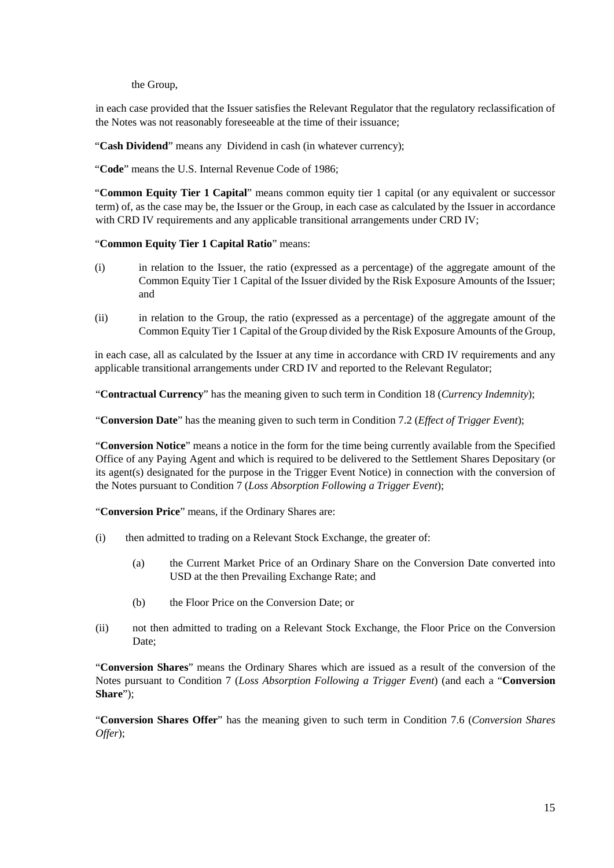the Group,

in each case provided that the Issuer satisfies the Relevant Regulator that the regulatory reclassification of the Notes was not reasonably foreseeable at the time of their issuance;

"Cash Dividend" means any Dividend in cash (in whatever currency);

"**Code**" means the U.S. Internal Revenue Code of 1986;

"**Common Equity Tier 1 Capital**" means common equity tier 1 capital (or any equivalent or successor term) of, as the case may be, the Issuer or the Group, in each case as calculated by the Issuer in accordance with CRD IV requirements and any applicable transitional arrangements under CRD IV;

### "**Common Equity Tier 1 Capital Ratio**" means:

- (i) in relation to the Issuer, the ratio (expressed as a percentage) of the aggregate amount of the Common Equity Tier 1 Capital of the Issuer divided by the Risk Exposure Amounts of the Issuer; and
- (ii) in relation to the Group, the ratio (expressed as a percentage) of the aggregate amount of the Common Equity Tier 1 Capital of the Group divided by the Risk Exposure Amounts of the Group,

in each case, all as calculated by the Issuer at any time in accordance with CRD IV requirements and any applicable transitional arrangements under CRD IV and reported to the Relevant Regulator;

"**Contractual Currency**" has the meaning given to such term in Condition [18](#page-42-1) (*Currency Indemnity*);

"**Conversion Date**" has the meaning given to such term in Condition 7.2 (*Effect of Trigger Event*);

"**Conversion Notice**" means a notice in the form for the time being currently available from the Specified Office of any Paying Agent and which is required to be delivered to the Settlement Shares Depositary (or its agent(s) designated for the purpose in the Trigger Event Notice) in connection with the conversion of the Notes pursuant to Condition 7 (*Loss Absorption Following a Trigger Event*);

"**Conversion Price**" means, if the Ordinary Shares are:

- (i) then admitted to trading on a Relevant Stock Exchange, the greater of:
	- (a) the Current Market Price of an Ordinary Share on the Conversion Date converted into USD at the then Prevailing Exchange Rate; and
	- (b) the Floor Price on the Conversion Date; or
- (ii) not then admitted to trading on a Relevant Stock Exchange, the Floor Price on the Conversion Date;

"**Conversion Shares**" means the Ordinary Shares which are issued as a result of the conversion of the Notes pursuant to Condition 7 (*Loss Absorption Following a Trigger Event*) (and each a "**Conversion Share**");

"**Conversion Shares Offer**" has the meaning given to such term in Condition 7.6 (*Conversion Shares Offer*);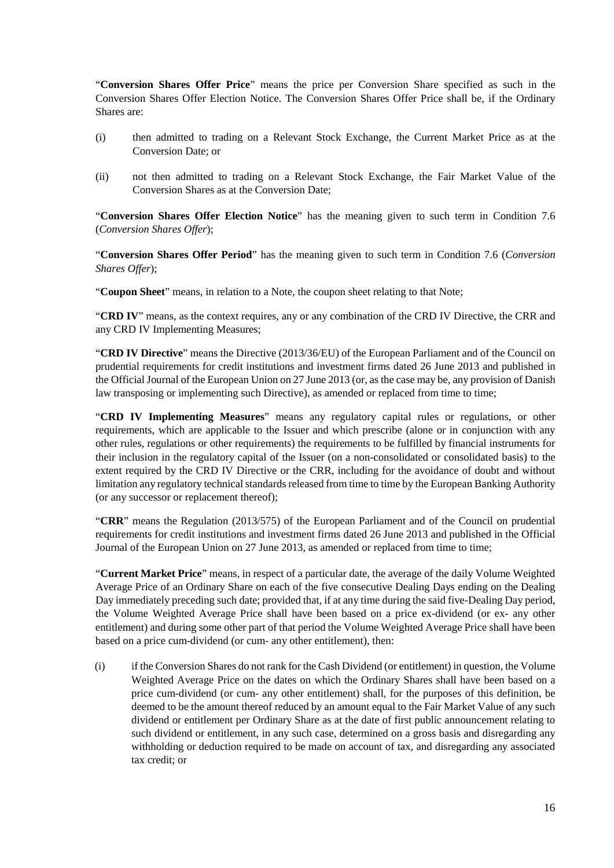"**Conversion Shares Offer Price**" means the price per Conversion Share specified as such in the Conversion Shares Offer Election Notice. The Conversion Shares Offer Price shall be, if the Ordinary Shares are:

- (i) then admitted to trading on a Relevant Stock Exchange, the Current Market Price as at the Conversion Date; or
- (ii) not then admitted to trading on a Relevant Stock Exchange, the Fair Market Value of the Conversion Shares as at the Conversion Date;

"**Conversion Shares Offer Election Notice**" has the meaning given to such term in Condition 7.6 (*Conversion Shares Offer*);

"**Conversion Shares Offer Period**" has the meaning given to such term in Condition 7.6 (*Conversion Shares Offer*);

"**Coupon Sheet**" means, in relation to a Note, the coupon sheet relating to that Note;

"**CRD IV**" means, as the context requires, any or any combination of the CRD IV Directive, the CRR and any CRD IV Implementing Measures;

"**CRD IV Directive**" means the Directive (2013/36/EU) of the European Parliament and of the Council on prudential requirements for credit institutions and investment firms dated 26 June 2013 and published in the Official Journal of the European Union on 27 June 2013 (or, as the case may be, any provision of Danish law transposing or implementing such Directive), as amended or replaced from time to time;

"**CRD IV Implementing Measures**" means any regulatory capital rules or regulations, or other requirements, which are applicable to the Issuer and which prescribe (alone or in conjunction with any other rules, regulations or other requirements) the requirements to be fulfilled by financial instruments for their inclusion in the regulatory capital of the Issuer (on a non-consolidated or consolidated basis) to the extent required by the CRD IV Directive or the CRR, including for the avoidance of doubt and without limitation any regulatory technical standards released from time to time by the European Banking Authority (or any successor or replacement thereof);

"**CRR**" means the Regulation (2013/575) of the European Parliament and of the Council on prudential requirements for credit institutions and investment firms dated 26 June 2013 and published in the Official Journal of the European Union on 27 June 2013, as amended or replaced from time to time;

"**Current Market Price**" means, in respect of a particular date, the average of the daily Volume Weighted Average Price of an Ordinary Share on each of the five consecutive Dealing Days ending on the Dealing Day immediately preceding such date; provided that, if at any time during the said five-Dealing Day period, the Volume Weighted Average Price shall have been based on a price ex-dividend (or ex- any other entitlement) and during some other part of that period the Volume Weighted Average Price shall have been based on a price cum-dividend (or cum- any other entitlement), then:

(i) if the Conversion Shares do not rank for the Cash Dividend (or entitlement) in question, the Volume Weighted Average Price on the dates on which the Ordinary Shares shall have been based on a price cum-dividend (or cum- any other entitlement) shall, for the purposes of this definition, be deemed to be the amount thereof reduced by an amount equal to the Fair Market Value of any such dividend or entitlement per Ordinary Share as at the date of first public announcement relating to such dividend or entitlement, in any such case, determined on a gross basis and disregarding any withholding or deduction required to be made on account of tax, and disregarding any associated tax credit; or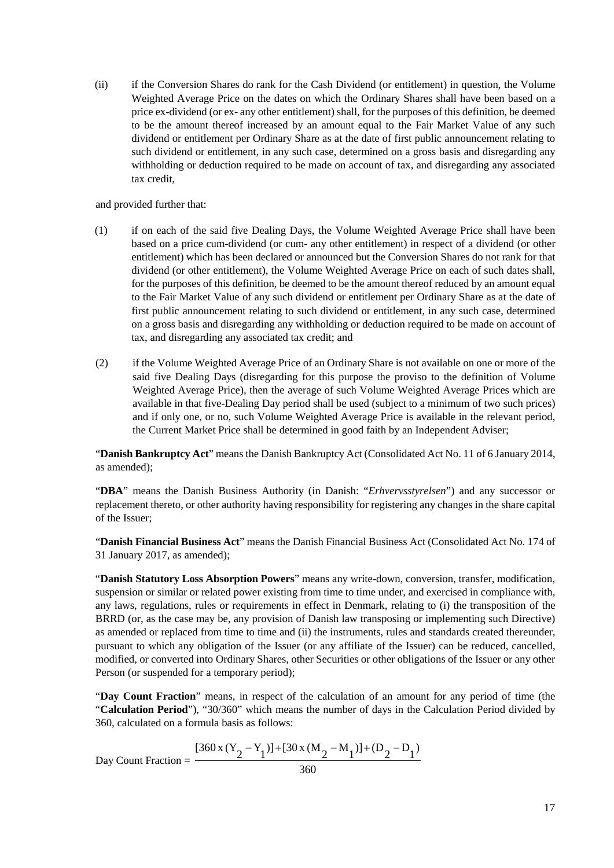(ii) if the Conversion Shares do rank for the Cash Dividend (or entitlement) in question, the Volume Weighted Average Price on the dates on which the Ordinary Shares shall have been based on a price ex-dividend (or ex- any other entitlement) shall, for the purposes of this definition, be deemed to be the amount thereof increased by an amount equal to the Fair Market Value of any such dividend or entitlement per Ordinary Share as at the date of first public announcement relating to such dividend or entitlement, in any such case, determined on a gross basis and disregarding any withholding or deduction required to be made on account of tax, and disregarding any associated tax credit,

#### and provided further that:

- (1) if on each of the said five Dealing Days, the Volume Weighted Average Price shall have been based on a price cum-dividend (or cum- any other entitlement) in respect of a dividend (or other entitlement) which has been declared or announced but the Conversion Shares do not rank for that dividend (or other entitlement), the Volume Weighted Average Price on each of such dates shall, for the purposes of this definition, be deemed to be the amount thereof reduced by an amount equal to the Fair Market Value of any such dividend or entitlement per Ordinary Share as at the date of first public announcement relating to such dividend or entitlement, in any such case, determined on a gross basis and disregarding any withholding or deduction required to be made on account of tax, and disregarding any associated tax credit; and
- (2) if the Volume Weighted Average Price of an Ordinary Share is not available on one or more of the said five Dealing Days (disregarding for this purpose the proviso to the definition of Volume Weighted Average Price), then the average of such Volume Weighted Average Prices which are available in that five-Dealing Day period shall be used (subject to a minimum of two such prices) and if only one, or no, such Volume Weighted Average Price is available in the relevant period, the Current Market Price shall be determined in good faith by an Independent Adviser;

"**Danish Bankruptcy Act**" means the Danish Bankruptcy Act (Consolidated Act No. 11 of 6 January 2014, as amended);

"**DBA**" means the Danish Business Authority (in Danish: "*Erhvervsstyrelsen*") and any successor or replacement thereto, or other authority having responsibility for registering any changes in the share capital of the Issuer;

"**Danish Financial Business Act**" means the Danish Financial Business Act (Consolidated Act No. 174 of 31 January 2017, as amended);

"**Danish Statutory Loss Absorption Powers**" means any write-down, conversion, transfer, modification, suspension or similar or related power existing from time to time under, and exercised in compliance with, any laws, regulations, rules or requirements in effect in Denmark, relating to (i) the transposition of the BRRD (or, as the case may be, any provision of Danish law transposing or implementing such Directive) as amended or replaced from time to time and (ii) the instruments, rules and standards created thereunder, pursuant to which any obligation of the Issuer (or any affiliate of the Issuer) can be reduced, cancelled, modified, or converted into Ordinary Shares, other Securities or other obligations of the Issuer or any other Person (or suspended for a temporary period);

"**Day Count Fraction**" means, in respect of the calculation of an amount for any period of time (the "**Calculation Period**"), "30/360" which means the number of days in the Calculation Period divided by 360, calculated on a formula basis as follows:

Day Count Fraction = 
$$
\frac{[360 \times (Y_2 - Y_1)] + [30 \times (M_2 - M_1)] + (D_2 - D_1)}{360}
$$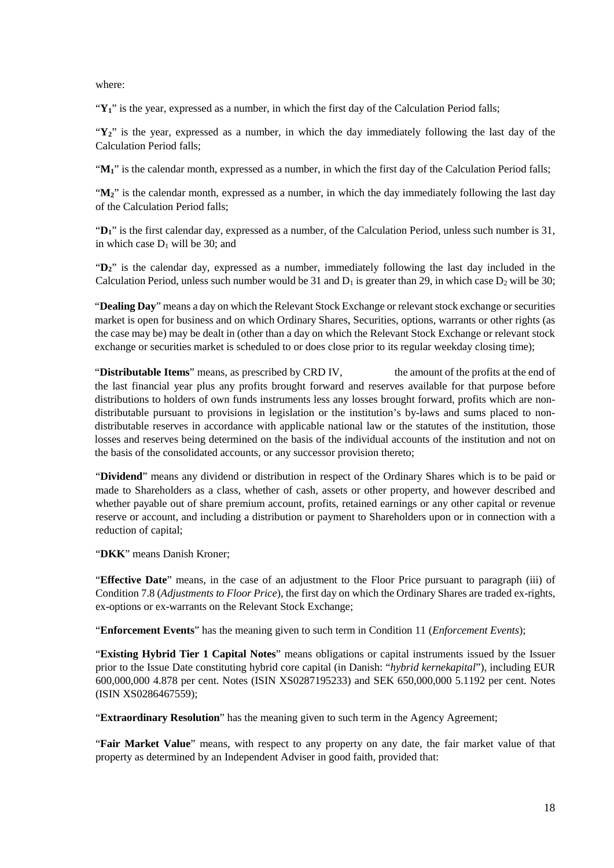where:

" $\mathbf{Y}_1$ " is the year, expressed as a number, in which the first day of the Calculation Period falls;

" $\mathbf{Y}_2$ " is the year, expressed as a number, in which the day immediately following the last day of the Calculation Period falls;

" $M_1$ " is the calendar month, expressed as a number, in which the first day of the Calculation Period falls;

" $M_2$ " is the calendar month, expressed as a number, in which the day immediately following the last day of the Calculation Period falls;

"**D1**" is the first calendar day, expressed as a number, of the Calculation Period, unless such number is 31, in which case  $D_1$  will be 30; and

"**D2**" is the calendar day, expressed as a number, immediately following the last day included in the Calculation Period, unless such number would be 31 and  $D_1$  is greater than 29, in which case  $D_2$  will be 30;

"**Dealing Day**" means a day on which the Relevant Stock Exchange or relevant stock exchange or securities market is open for business and on which Ordinary Shares, Securities, options, warrants or other rights (as the case may be) may be dealt in (other than a day on which the Relevant Stock Exchange or relevant stock exchange or securities market is scheduled to or does close prior to its regular weekday closing time);

"**Distributable Items**" means, as prescribed by CRD IV, the amount of the profits at the end of the last financial year plus any profits brought forward and reserves available for that purpose before distributions to holders of own funds instruments less any losses brought forward, profits which are nondistributable pursuant to provisions in legislation or the institution's by-laws and sums placed to nondistributable reserves in accordance with applicable national law or the statutes of the institution, those losses and reserves being determined on the basis of the individual accounts of the institution and not on the basis of the consolidated accounts, or any successor provision thereto;

"**Dividend**" means any dividend or distribution in respect of the Ordinary Shares which is to be paid or made to Shareholders as a class, whether of cash, assets or other property, and however described and whether payable out of share premium account, profits, retained earnings or any other capital or revenue reserve or account, and including a distribution or payment to Shareholders upon or in connection with a reduction of capital;

"**DKK**" means Danish Kroner;

"**Effective Date**" means, in the case of an adjustment to the Floor Price pursuant to paragraph (iii) of Condition 7.8 (*Adjustments to Floor Price*), the first day on which the Ordinary Shares are traded ex-rights, ex-options or ex-warrants on the Relevant Stock Exchange;

"**Enforcement Events**" has the meaning given to such term in Condition 11 (*Enforcement Events*);

"**Existing Hybrid Tier 1 Capital Notes**" means obligations or capital instruments issued by the Issuer prior to the Issue Date constituting hybrid core capital (in Danish: "*hybrid kernekapital*"), including EUR 600,000,000 4.878 per cent. Notes (ISIN XS0287195233) and SEK 650,000,000 5.1192 per cent. Notes (ISIN XS0286467559);

"**Extraordinary Resolution**" has the meaning given to such term in the Agency Agreement;

"**Fair Market Value**" means, with respect to any property on any date, the fair market value of that property as determined by an Independent Adviser in good faith, provided that: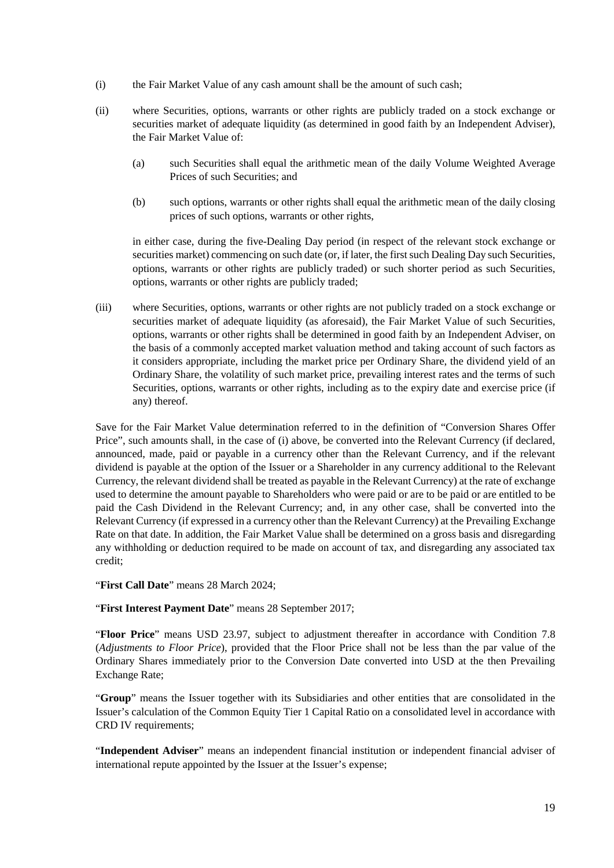- (i) the Fair Market Value of any cash amount shall be the amount of such cash;
- (ii) where Securities, options, warrants or other rights are publicly traded on a stock exchange or securities market of adequate liquidity (as determined in good faith by an Independent Adviser), the Fair Market Value of:
	- (a) such Securities shall equal the arithmetic mean of the daily Volume Weighted Average Prices of such Securities; and
	- (b) such options, warrants or other rights shall equal the arithmetic mean of the daily closing prices of such options, warrants or other rights,

in either case, during the five-Dealing Day period (in respect of the relevant stock exchange or securities market) commencing on such date (or, if later, the first such Dealing Day such Securities, options, warrants or other rights are publicly traded) or such shorter period as such Securities, options, warrants or other rights are publicly traded;

(iii) where Securities, options, warrants or other rights are not publicly traded on a stock exchange or securities market of adequate liquidity (as aforesaid), the Fair Market Value of such Securities, options, warrants or other rights shall be determined in good faith by an Independent Adviser, on the basis of a commonly accepted market valuation method and taking account of such factors as it considers appropriate, including the market price per Ordinary Share, the dividend yield of an Ordinary Share, the volatility of such market price, prevailing interest rates and the terms of such Securities, options, warrants or other rights, including as to the expiry date and exercise price (if any) thereof.

Save for the Fair Market Value determination referred to in the definition of "Conversion Shares Offer Price", such amounts shall, in the case of (i) above, be converted into the Relevant Currency (if declared, announced, made, paid or payable in a currency other than the Relevant Currency, and if the relevant dividend is payable at the option of the Issuer or a Shareholder in any currency additional to the Relevant Currency, the relevant dividend shall be treated as payable in the Relevant Currency) at the rate of exchange used to determine the amount payable to Shareholders who were paid or are to be paid or are entitled to be paid the Cash Dividend in the Relevant Currency; and, in any other case, shall be converted into the Relevant Currency (if expressed in a currency other than the Relevant Currency) at the Prevailing Exchange Rate on that date. In addition, the Fair Market Value shall be determined on a gross basis and disregarding any withholding or deduction required to be made on account of tax, and disregarding any associated tax credit;

"**First Call Date**" means 28 March 2024;

"**First Interest Payment Date**" means 28 September 2017;

"**Floor Price**" means USD 23.97, subject to adjustment thereafter in accordance with Condition 7.8 (*Adjustments to Floor Price*), provided that the Floor Price shall not be less than the par value of the Ordinary Shares immediately prior to the Conversion Date converted into USD at the then Prevailing Exchange Rate;

"**Group**" means the Issuer together with its Subsidiaries and other entities that are consolidated in the Issuer's calculation of the Common Equity Tier 1 Capital Ratio on a consolidated level in accordance with CRD IV requirements;

"**Independent Adviser**" means an independent financial institution or independent financial adviser of international repute appointed by the Issuer at the Issuer's expense;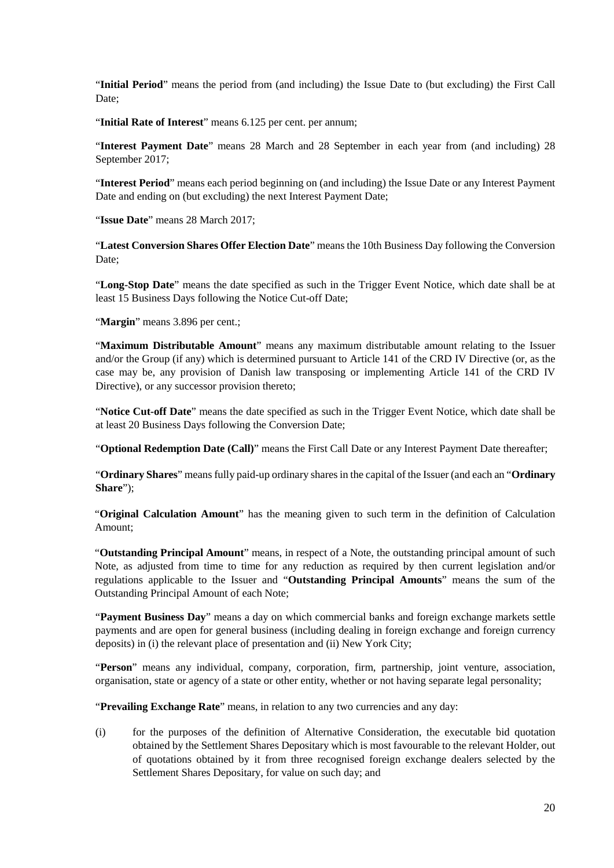"**Initial Period**" means the period from (and including) the Issue Date to (but excluding) the First Call Date;

"**Initial Rate of Interest**" means 6.125 per cent. per annum;

"**Interest Payment Date**" means 28 March and 28 September in each year from (and including) 28 September 2017;

"**Interest Period**" means each period beginning on (and including) the Issue Date or any Interest Payment Date and ending on (but excluding) the next Interest Payment Date;

"**Issue Date**" means 28 March 2017;

"**Latest Conversion Shares Offer Election Date**" means the 10th Business Day following the Conversion Date;

"**Long-Stop Date**" means the date specified as such in the Trigger Event Notice, which date shall be at least 15 Business Days following the Notice Cut-off Date;

"**Margin**" means 3.896 per cent.;

"**Maximum Distributable Amount**" means any maximum distributable amount relating to the Issuer and/or the Group (if any) which is determined pursuant to Article 141 of the CRD IV Directive (or, as the case may be, any provision of Danish law transposing or implementing Article 141 of the CRD IV Directive), or any successor provision thereto;

"**Notice Cut-off Date**" means the date specified as such in the Trigger Event Notice, which date shall be at least 20 Business Days following the Conversion Date;

"**Optional Redemption Date (Call)**" means the First Call Date or any Interest Payment Date thereafter;

"**Ordinary Shares**" means fully paid-up ordinary shares in the capital of the Issuer (and each an "**Ordinary Share**");

"**Original Calculation Amount**" has the meaning given to such term in the definition of Calculation Amount;

"**Outstanding Principal Amount**" means, in respect of a Note, the outstanding principal amount of such Note, as adjusted from time to time for any reduction as required by then current legislation and/or regulations applicable to the Issuer and "**Outstanding Principal Amounts**" means the sum of the Outstanding Principal Amount of each Note;

"**Payment Business Day**" means a day on which commercial banks and foreign exchange markets settle payments and are open for general business (including dealing in foreign exchange and foreign currency deposits) in (i) the relevant place of presentation and (ii) New York City;

"**Person**" means any individual, company, corporation, firm, partnership, joint venture, association, organisation, state or agency of a state or other entity, whether or not having separate legal personality;

"**Prevailing Exchange Rate**" means, in relation to any two currencies and any day:

(i) for the purposes of the definition of Alternative Consideration, the executable bid quotation obtained by the Settlement Shares Depositary which is most favourable to the relevant Holder, out of quotations obtained by it from three recognised foreign exchange dealers selected by the Settlement Shares Depositary, for value on such day; and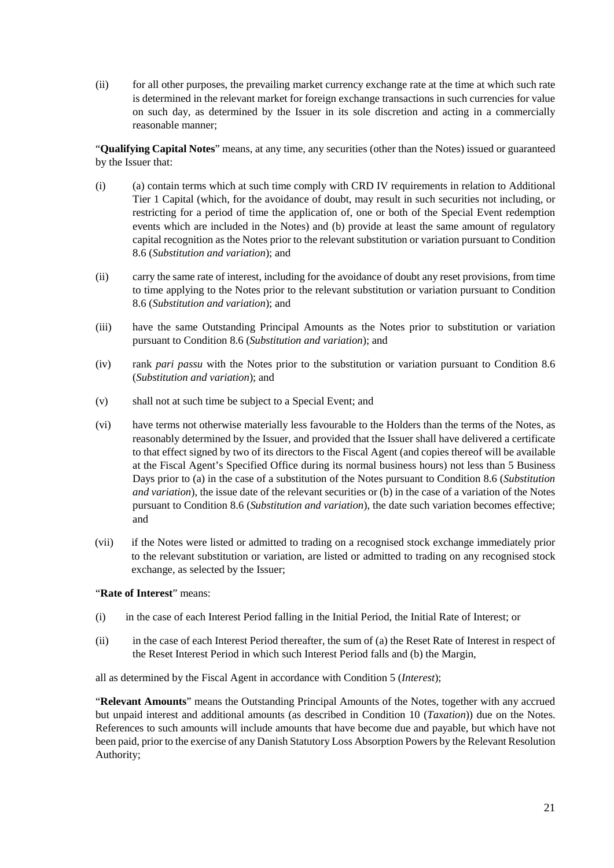(ii) for all other purposes, the prevailing market currency exchange rate at the time at which such rate is determined in the relevant market for foreign exchange transactions in such currencies for value on such day, as determined by the Issuer in its sole discretion and acting in a commercially reasonable manner;

"**Qualifying Capital Notes**" means, at any time, any securities (other than the Notes) issued or guaranteed by the Issuer that:

- (i) (a) contain terms which at such time comply with CRD IV requirements in relation to Additional Tier 1 Capital (which, for the avoidance of doubt, may result in such securities not including, or restricting for a period of time the application of, one or both of the Special Event redemption events which are included in the Notes) and (b) provide at least the same amount of regulatory capital recognition as the Notes prior to the relevant substitution or variation pursuant to Condition [8.6](#page-37-0) (*Substitution and variation*); and
- (ii) carry the same rate of interest, including for the avoidance of doubt any reset provisions, from time to time applying to the Notes prior to the relevant substitution or variation pursuant to Condition [8.6](#page-37-0) (*Substitution and variation*); and
- (iii) have the same Outstanding Principal Amounts as the Notes prior to substitution or variation pursuant to Condition 8.6 (*Substitution and variation*); and
- (iv) rank *pari passu* with the Notes prior to the substitution or variation pursuant to Condition [8.6](#page-37-0) (*Substitution and variation*); and
- (v) shall not at such time be subject to a Special Event; and
- (vi) have terms not otherwise materially less favourable to the Holders than the terms of the Notes, as reasonably determined by the Issuer, and provided that the Issuer shall have delivered a certificate to that effect signed by two of its directors to the Fiscal Agent (and copies thereof will be available at the Fiscal Agent's Specified Office during its normal business hours) not less than 5 Business Days prior to (a) in the case of a substitution of the Notes pursuant to Condition [8.6](#page-37-0) (*Substitution and variation*), the issue date of the relevant securities or (b) in the case of a variation of the Notes pursuant to Condition [8.6](#page-37-0) (*Substitution and variation*), the date such variation becomes effective; and
- (vii) if the Notes were listed or admitted to trading on a recognised stock exchange immediately prior to the relevant substitution or variation, are listed or admitted to trading on any recognised stock exchange, as selected by the Issuer;

#### "**Rate of Interest**" means:

- (i) in the case of each Interest Period falling in the Initial Period, the Initial Rate of Interest; or
- (ii) in the case of each Interest Period thereafter, the sum of (a) the Reset Rate of Interest in respect of the Reset Interest Period in which such Interest Period falls and (b) the Margin,

all as determined by the Fiscal Agent in accordance with Condition 5 (*Interest*);

"**Relevant Amounts**" means the Outstanding Principal Amounts of the Notes, together with any accrued but unpaid interest and additional amounts (as described in Condition 10 (*Taxation*)) due on the Notes. References to such amounts will include amounts that have become due and payable, but which have not been paid, prior to the exercise of any Danish Statutory Loss Absorption Powers by the Relevant Resolution Authority;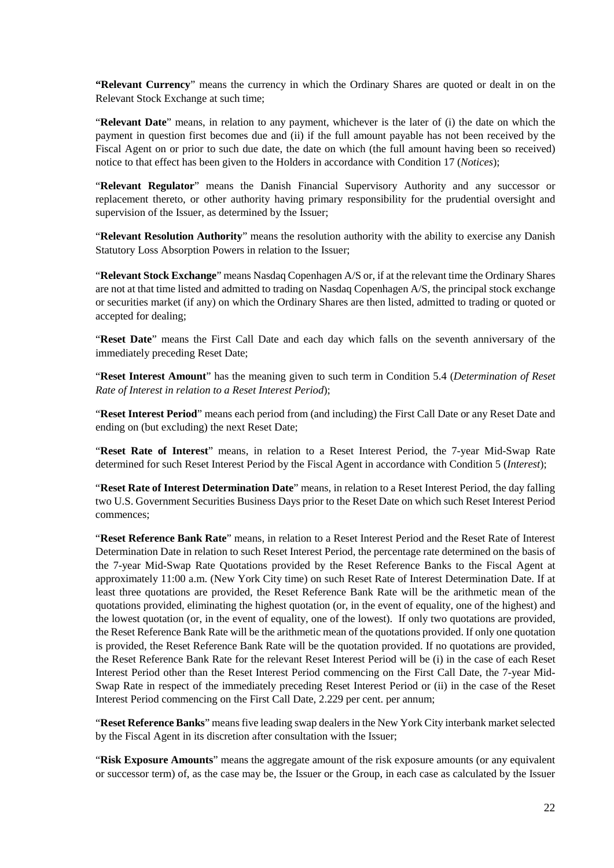**"Relevant Currency**" means the currency in which the Ordinary Shares are quoted or dealt in on the Relevant Stock Exchange at such time;

"**Relevant Date**" means, in relation to any payment, whichever is the later of (i) the date on which the payment in question first becomes due and (ii) if the full amount payable has not been received by the Fiscal Agent on or prior to such due date, the date on which (the full amount having been so received) notice to that effect has been given to the Holders in accordance with Condition [17](#page-42-0) (*Notices*);

"**Relevant Regulator**" means the Danish Financial Supervisory Authority and any successor or replacement thereto, or other authority having primary responsibility for the prudential oversight and supervision of the Issuer, as determined by the Issuer;

"**Relevant Resolution Authority**" means the resolution authority with the ability to exercise any Danish Statutory Loss Absorption Powers in relation to the Issuer;

"**Relevant Stock Exchange**" means Nasdaq Copenhagen A/S or, if at the relevant time the Ordinary Shares are not at that time listed and admitted to trading on Nasdaq Copenhagen A/S, the principal stock exchange or securities market (if any) on which the Ordinary Shares are then listed, admitted to trading or quoted or accepted for dealing;

"**Reset Date**" means the First Call Date and each day which falls on the seventh anniversary of the immediately preceding Reset Date;

"**Reset Interest Amount**" has the meaning given to such term in Condition 5.4 (*Determination of Reset Rate of Interest in relation to a Reset Interest Period*);

"**Reset Interest Period**" means each period from (and including) the First Call Date or any Reset Date and ending on (but excluding) the next Reset Date;

"**Reset Rate of Interest**" means, in relation to a Reset Interest Period, the 7-year Mid-Swap Rate determined for such Reset Interest Period by the Fiscal Agent in accordance with Condition 5 (*Interest*);

"**Reset Rate of Interest Determination Date**" means, in relation to a Reset Interest Period, the day falling two U.S. Government Securities Business Days prior to the Reset Date on which such Reset Interest Period commences;

"**Reset Reference Bank Rate**" means, in relation to a Reset Interest Period and the Reset Rate of Interest Determination Date in relation to such Reset Interest Period, the percentage rate determined on the basis of the 7-year Mid-Swap Rate Quotations provided by the Reset Reference Banks to the Fiscal Agent at approximately 11:00 a.m. (New York City time) on such Reset Rate of Interest Determination Date. If at least three quotations are provided, the Reset Reference Bank Rate will be the arithmetic mean of the quotations provided, eliminating the highest quotation (or, in the event of equality, one of the highest) and the lowest quotation (or, in the event of equality, one of the lowest). If only two quotations are provided, the Reset Reference Bank Rate will be the arithmetic mean of the quotations provided. If only one quotation is provided, the Reset Reference Bank Rate will be the quotation provided. If no quotations are provided, the Reset Reference Bank Rate for the relevant Reset Interest Period will be (i) in the case of each Reset Interest Period other than the Reset Interest Period commencing on the First Call Date, the 7-year Mid-Swap Rate in respect of the immediately preceding Reset Interest Period or (ii) in the case of the Reset Interest Period commencing on the First Call Date, 2.229 per cent. per annum;

"**Reset Reference Banks**" means five leading swap dealers in the New York City interbank market selected by the Fiscal Agent in its discretion after consultation with the Issuer;

"**Risk Exposure Amounts**" means the aggregate amount of the risk exposure amounts (or any equivalent or successor term) of, as the case may be, the Issuer or the Group, in each case as calculated by the Issuer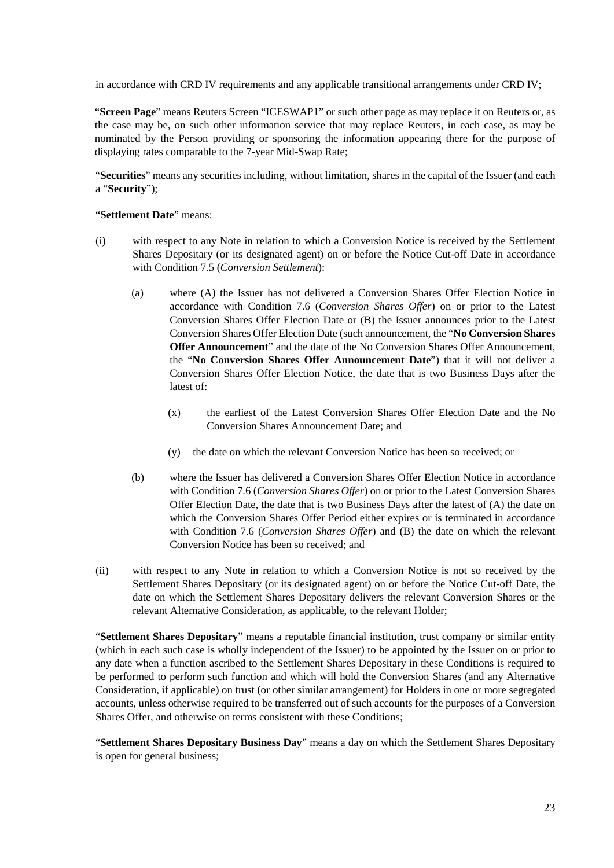in accordance with CRD IV requirements and any applicable transitional arrangements under CRD IV;

"**Screen Page**" means Reuters Screen "ICESWAP1" or such other page as may replace it on Reuters or, as the case may be, on such other information service that may replace Reuters, in each case, as may be nominated by the Person providing or sponsoring the information appearing there for the purpose of displaying rates comparable to the 7-year Mid-Swap Rate;

"**Securities**" means any securities including, without limitation, shares in the capital of the Issuer (and each a "**Security**");

### "**Settlement Date**" means:

- (i) with respect to any Note in relation to which a Conversion Notice is received by the Settlement Shares Depositary (or its designated agent) on or before the Notice Cut-off Date in accordance with Condition 7.5 (*Conversion Settlement*):
	- (a) where (A) the Issuer has not delivered a Conversion Shares Offer Election Notice in accordance with Condition 7.6 (*Conversion Shares Offer*) on or prior to the Latest Conversion Shares Offer Election Date or (B) the Issuer announces prior to the Latest Conversion Shares Offer Election Date (such announcement, the "**No Conversion Shares Offer Announcement**" and the date of the No Conversion Shares Offer Announcement, the "**No Conversion Shares Offer Announcement Date**") that it will not deliver a Conversion Shares Offer Election Notice, the date that is two Business Days after the latest of:
		- (x) the earliest of the Latest Conversion Shares Offer Election Date and the No Conversion Shares Announcement Date; and
		- (y) the date on which the relevant Conversion Notice has been so received; or
	- (b) where the Issuer has delivered a Conversion Shares Offer Election Notice in accordance with Condition 7.6 (*Conversion Shares Offer*) on or prior to the Latest Conversion Shares Offer Election Date, the date that is two Business Days after the latest of (A) the date on which the Conversion Shares Offer Period either expires or is terminated in accordance with Condition 7.6 (*Conversion Shares Offer*) and (B) the date on which the relevant Conversion Notice has been so received; and
- (ii) with respect to any Note in relation to which a Conversion Notice is not so received by the Settlement Shares Depositary (or its designated agent) on or before the Notice Cut-off Date, the date on which the Settlement Shares Depositary delivers the relevant Conversion Shares or the relevant Alternative Consideration, as applicable, to the relevant Holder;

"**Settlement Shares Depositary**" means a reputable financial institution, trust company or similar entity (which in each such case is wholly independent of the Issuer) to be appointed by the Issuer on or prior to any date when a function ascribed to the Settlement Shares Depositary in these Conditions is required to be performed to perform such function and which will hold the Conversion Shares (and any Alternative Consideration, if applicable) on trust (or other similar arrangement) for Holders in one or more segregated accounts, unless otherwise required to be transferred out of such accounts for the purposes of a Conversion Shares Offer, and otherwise on terms consistent with these Conditions;

"**Settlement Shares Depositary Business Day**" means a day on which the Settlement Shares Depositary is open for general business;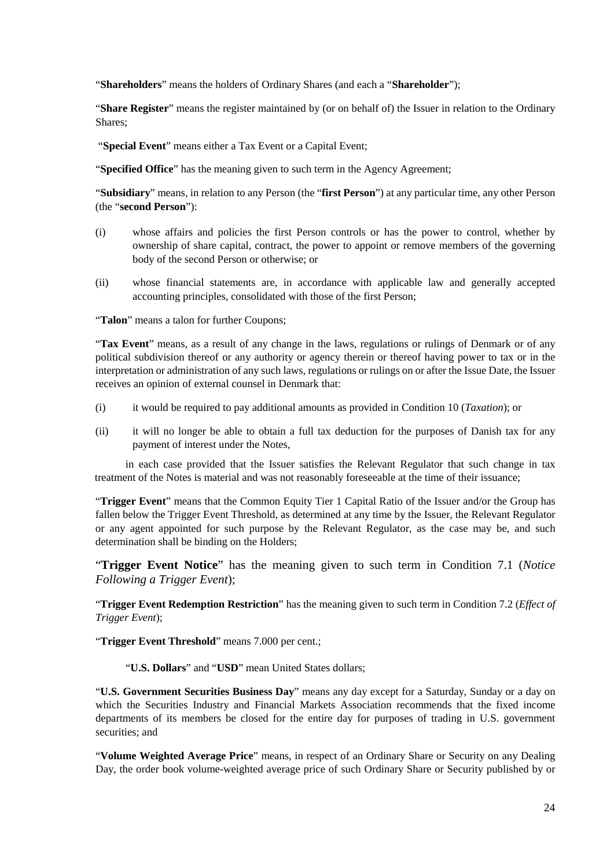"**Shareholders**" means the holders of Ordinary Shares (and each a "**Shareholder**");

"**Share Register**" means the register maintained by (or on behalf of) the Issuer in relation to the Ordinary Shares;

"**Special Event**" means either a Tax Event or a Capital Event;

"**Specified Office**" has the meaning given to such term in the Agency Agreement;

"**Subsidiary**" means, in relation to any Person (the "**first Person**") at any particular time, any other Person (the "**second Person**"):

- (i) whose affairs and policies the first Person controls or has the power to control, whether by ownership of share capital, contract, the power to appoint or remove members of the governing body of the second Person or otherwise; or
- (ii) whose financial statements are, in accordance with applicable law and generally accepted accounting principles, consolidated with those of the first Person;

"**Talon**" means a talon for further Coupons;

"**Tax Event**" means, as a result of any change in the laws, regulations or rulings of Denmark or of any political subdivision thereof or any authority or agency therein or thereof having power to tax or in the interpretation or administration of any such laws, regulations or rulings on or after the Issue Date, the Issuer receives an opinion of external counsel in Denmark that:

- (i) it would be required to pay additional amounts as provided in Condition 10 (*Taxation*); or
- (ii) it will no longer be able to obtain a full tax deduction for the purposes of Danish tax for any payment of interest under the Notes,

in each case provided that the Issuer satisfies the Relevant Regulator that such change in tax treatment of the Notes is material and was not reasonably foreseeable at the time of their issuance;

"**Trigger Event**" means that the Common Equity Tier 1 Capital Ratio of the Issuer and/or the Group has fallen below the Trigger Event Threshold, as determined at any time by the Issuer, the Relevant Regulator or any agent appointed for such purpose by the Relevant Regulator, as the case may be, and such determination shall be binding on the Holders;

"**Trigger Event Notice**" has the meaning given to such term in Condition 7.1 (*Notice Following a Trigger Event*);

"**Trigger Event Redemption Restriction**" has the meaning given to such term in Condition 7.2 (*Effect of Trigger Event*);

"**Trigger Event Threshold**" means 7.000 per cent.;

"**U.S. Dollars**" and "**USD**" mean United States dollars;

"**U.S. Government Securities Business Day**" means any day except for a Saturday, Sunday or a day on which the Securities Industry and Financial Markets Association recommends that the fixed income departments of its members be closed for the entire day for purposes of trading in U.S. government securities; and

"**Volume Weighted Average Price**" means, in respect of an Ordinary Share or Security on any Dealing Day, the order book volume-weighted average price of such Ordinary Share or Security published by or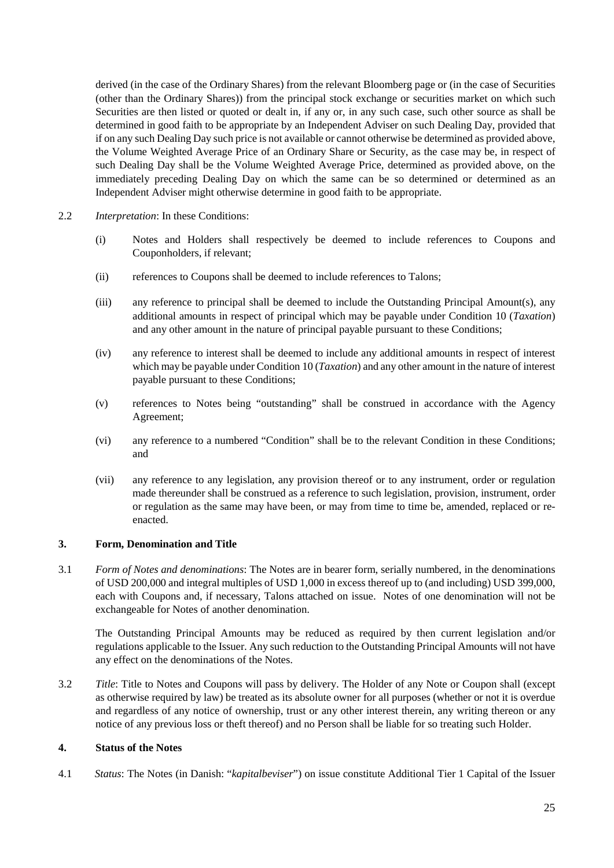derived (in the case of the Ordinary Shares) from the relevant Bloomberg page or (in the case of Securities (other than the Ordinary Shares)) from the principal stock exchange or securities market on which such Securities are then listed or quoted or dealt in, if any or, in any such case, such other source as shall be determined in good faith to be appropriate by an Independent Adviser on such Dealing Day, provided that if on any such Dealing Day such price is not available or cannot otherwise be determined as provided above, the Volume Weighted Average Price of an Ordinary Share or Security, as the case may be, in respect of such Dealing Day shall be the Volume Weighted Average Price, determined as provided above, on the immediately preceding Dealing Day on which the same can be so determined or determined as an Independent Adviser might otherwise determine in good faith to be appropriate.

- 2.2 *Interpretation*: In these Conditions:
	- (i) Notes and Holders shall respectively be deemed to include references to Coupons and Couponholders, if relevant;
	- (ii) references to Coupons shall be deemed to include references to Talons;
	- (iii) any reference to principal shall be deemed to include the Outstanding Principal Amount(s), any additional amounts in respect of principal which may be payable under Condition 10 (*Taxation*) and any other amount in the nature of principal payable pursuant to these Conditions;
	- (iv) any reference to interest shall be deemed to include any additional amounts in respect of interest which may be payable under Condition 10 (*Taxation*) and any other amount in the nature of interest payable pursuant to these Conditions;
	- (v) references to Notes being "outstanding" shall be construed in accordance with the Agency Agreement;
	- (vi) any reference to a numbered "Condition" shall be to the relevant Condition in these Conditions; and
	- (vii) any reference to any legislation, any provision thereof or to any instrument, order or regulation made thereunder shall be construed as a reference to such legislation, provision, instrument, order or regulation as the same may have been, or may from time to time be, amended, replaced or reenacted.

### **3. Form, Denomination and Title**

3.1 *Form of Notes and denominations*: The Notes are in bearer form, serially numbered, in the denominations of USD 200,000 and integral multiples of USD 1,000 in excess thereof up to (and including) USD 399,000, each with Coupons and, if necessary, Talons attached on issue. Notes of one denomination will not be exchangeable for Notes of another denomination.

The Outstanding Principal Amounts may be reduced as required by then current legislation and/or regulations applicable to the Issuer. Any such reduction to the Outstanding Principal Amounts will not have any effect on the denominations of the Notes.

3.2 *Title*: Title to Notes and Coupons will pass by delivery. The Holder of any Note or Coupon shall (except as otherwise required by law) be treated as its absolute owner for all purposes (whether or not it is overdue and regardless of any notice of ownership, trust or any other interest therein, any writing thereon or any notice of any previous loss or theft thereof) and no Person shall be liable for so treating such Holder.

### **4. Status of the Notes**

4.1 *Status*: The Notes (in Danish: "*kapitalbeviser*") on issue constitute Additional Tier 1 Capital of the Issuer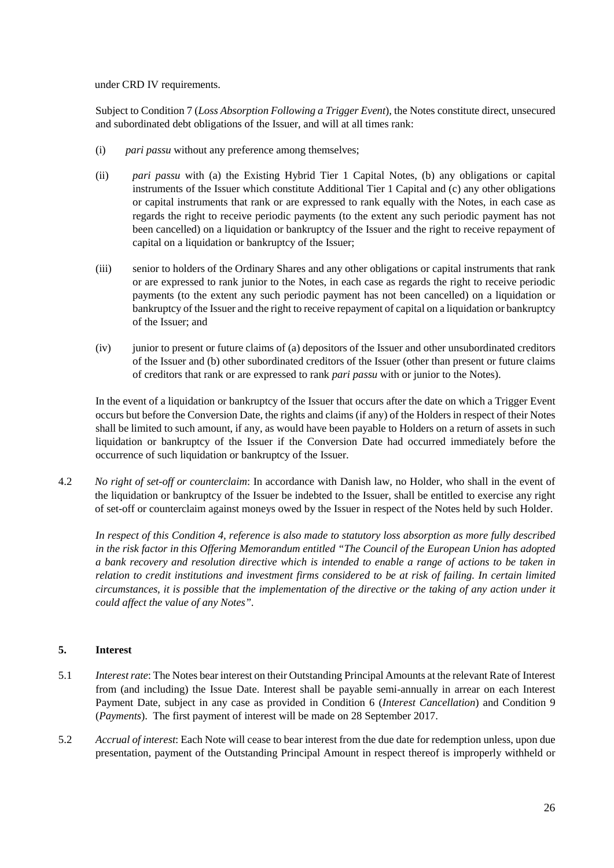under CRD IV requirements.

Subject to Condition 7 (*Loss Absorption Following a Trigger Event*), the Notes constitute direct, unsecured and subordinated debt obligations of the Issuer, and will at all times rank:

- (i) *pari passu* without any preference among themselves;
- (ii) *pari passu* with (a) the Existing Hybrid Tier 1 Capital Notes, (b) any obligations or capital instruments of the Issuer which constitute Additional Tier 1 Capital and (c) any other obligations or capital instruments that rank or are expressed to rank equally with the Notes, in each case as regards the right to receive periodic payments (to the extent any such periodic payment has not been cancelled) on a liquidation or bankruptcy of the Issuer and the right to receive repayment of capital on a liquidation or bankruptcy of the Issuer;
- (iii) senior to holders of the Ordinary Shares and any other obligations or capital instruments that rank or are expressed to rank junior to the Notes, in each case as regards the right to receive periodic payments (to the extent any such periodic payment has not been cancelled) on a liquidation or bankruptcy of the Issuer and the right to receive repayment of capital on a liquidation or bankruptcy of the Issuer; and
- (iv) junior to present or future claims of (a) depositors of the Issuer and other unsubordinated creditors of the Issuer and (b) other subordinated creditors of the Issuer (other than present or future claims of creditors that rank or are expressed to rank *pari passu* with or junior to the Notes).

In the event of a liquidation or bankruptcy of the Issuer that occurs after the date on which a Trigger Event occurs but before the Conversion Date, the rights and claims (if any) of the Holders in respect of their Notes shall be limited to such amount, if any, as would have been payable to Holders on a return of assets in such liquidation or bankruptcy of the Issuer if the Conversion Date had occurred immediately before the occurrence of such liquidation or bankruptcy of the Issuer.

4.2 *No right of set-off or counterclaim*: In accordance with Danish law, no Holder, who shall in the event of the liquidation or bankruptcy of the Issuer be indebted to the Issuer, shall be entitled to exercise any right of set-off or counterclaim against moneys owed by the Issuer in respect of the Notes held by such Holder.

*In respect of this Condition 4, reference is also made to statutory loss absorption as more fully described in the risk factor in this Offering Memorandum entitled "The Council of the European Union has adopted a bank recovery and resolution directive which is intended to enable a range of actions to be taken in relation to credit institutions and investment firms considered to be at risk of failing. In certain limited circumstances, it is possible that the implementation of the directive or the taking of any action under it could affect the value of any Notes".*

## **5. Interest**

- 5.1 *Interest rate*: The Notes bear interest on their Outstanding Principal Amounts at the relevant Rate of Interest from (and including) the Issue Date. Interest shall be payable semi-annually in arrear on each Interest Payment Date, subject in any case as provided in Condition 6 (*Interest Cancellation*) and Condition 9 (*Payments*). The first payment of interest will be made on 28 September 2017.
- 5.2 *Accrual of interest*: Each Note will cease to bear interest from the due date for redemption unless, upon due presentation, payment of the Outstanding Principal Amount in respect thereof is improperly withheld or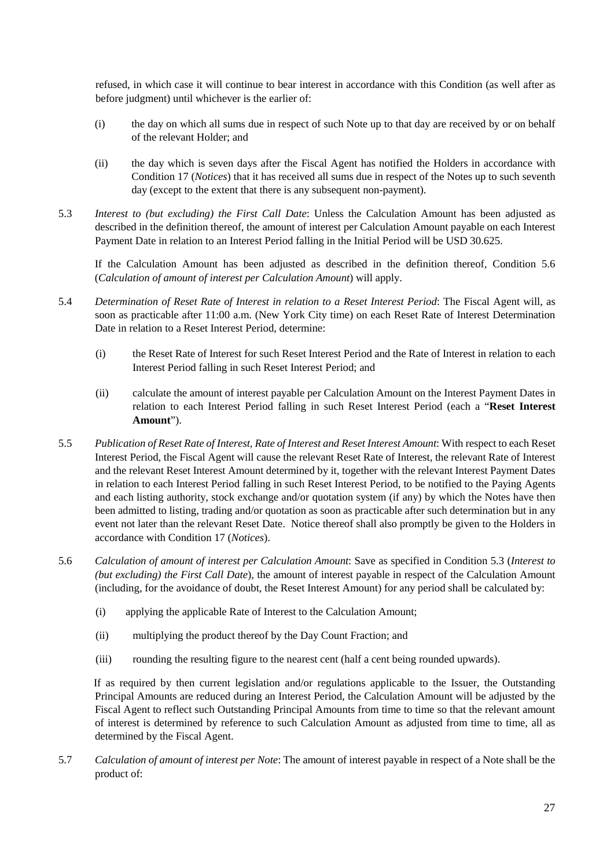refused, in which case it will continue to bear interest in accordance with this Condition (as well after as before judgment) until whichever is the earlier of:

- (i) the day on which all sums due in respect of such Note up to that day are received by or on behalf of the relevant Holder; and
- (ii) the day which is seven days after the Fiscal Agent has notified the Holders in accordance with Condition [17](#page-42-0) (*Notices*) that it has received all sums due in respect of the Notes up to such seventh day (except to the extent that there is any subsequent non-payment).
- 5.3 *Interest to (but excluding) the First Call Date*: Unless the Calculation Amount has been adjusted as described in the definition thereof, the amount of interest per Calculation Amount payable on each Interest Payment Date in relation to an Interest Period falling in the Initial Period will be USD 30.625.

If the Calculation Amount has been adjusted as described in the definition thereof, Condition 5.6 (*Calculation of amount of interest per Calculation Amount*) will apply.

- 5.4 *Determination of Reset Rate of Interest in relation to a Reset Interest Period*: The Fiscal Agent will, as soon as practicable after 11:00 a.m. (New York City time) on each Reset Rate of Interest Determination Date in relation to a Reset Interest Period, determine:
	- (i) the Reset Rate of Interest for such Reset Interest Period and the Rate of Interest in relation to each Interest Period falling in such Reset Interest Period; and
	- (ii) calculate the amount of interest payable per Calculation Amount on the Interest Payment Dates in relation to each Interest Period falling in such Reset Interest Period (each a "**Reset Interest Amount**").
- 5.5 *Publication of Reset Rate of Interest, Rate of Interest and Reset Interest Amount*: With respect to each Reset Interest Period, the Fiscal Agent will cause the relevant Reset Rate of Interest, the relevant Rate of Interest and the relevant Reset Interest Amount determined by it, together with the relevant Interest Payment Dates in relation to each Interest Period falling in such Reset Interest Period, to be notified to the Paying Agents and each listing authority, stock exchange and/or quotation system (if any) by which the Notes have then been admitted to listing, trading and/or quotation as soon as practicable after such determination but in any event not later than the relevant Reset Date. Notice thereof shall also promptly be given to the Holders in accordance with Condition [17](#page-42-0) (*Notices*).
- 5.6 *Calculation of amount of interest per Calculation Amount*: Save as specified in Condition 5.3 (*Interest to (but excluding) the First Call Date*), the amount of interest payable in respect of the Calculation Amount (including, for the avoidance of doubt, the Reset Interest Amount) for any period shall be calculated by:
	- (i) applying the applicable Rate of Interest to the Calculation Amount;
	- (ii) multiplying the product thereof by the Day Count Fraction; and
	- (iii) rounding the resulting figure to the nearest cent (half a cent being rounded upwards).

If as required by then current legislation and/or regulations applicable to the Issuer, the Outstanding Principal Amounts are reduced during an Interest Period, the Calculation Amount will be adjusted by the Fiscal Agent to reflect such Outstanding Principal Amounts from time to time so that the relevant amount of interest is determined by reference to such Calculation Amount as adjusted from time to time, all as determined by the Fiscal Agent.

5.7 *Calculation of amount of interest per Note*: The amount of interest payable in respect of a Note shall be the product of: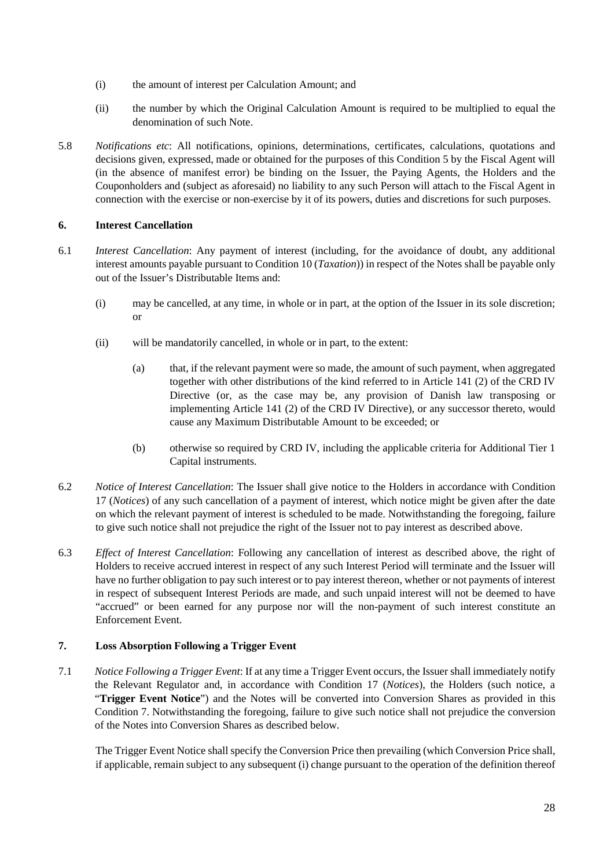- (i) the amount of interest per Calculation Amount; and
- (ii) the number by which the Original Calculation Amount is required to be multiplied to equal the denomination of such Note.
- 5.8 *Notifications etc*: All notifications, opinions, determinations, certificates, calculations, quotations and decisions given, expressed, made or obtained for the purposes of this Condition 5 by the Fiscal Agent will (in the absence of manifest error) be binding on the Issuer, the Paying Agents, the Holders and the Couponholders and (subject as aforesaid) no liability to any such Person will attach to the Fiscal Agent in connection with the exercise or non-exercise by it of its powers, duties and discretions for such purposes.

## **6. Interest Cancellation**

- 6.1 *Interest Cancellation*: Any payment of interest (including, for the avoidance of doubt, any additional interest amounts payable pursuant to Condition 10 (*Taxation*)) in respect of the Notes shall be payable only out of the Issuer's Distributable Items and:
	- (i) may be cancelled, at any time, in whole or in part, at the option of the Issuer in its sole discretion; or
	- (ii) will be mandatorily cancelled, in whole or in part, to the extent:
		- (a) that, if the relevant payment were so made, the amount of such payment, when aggregated together with other distributions of the kind referred to in Article 141 (2) of the CRD IV Directive (or, as the case may be, any provision of Danish law transposing or implementing Article 141 (2) of the CRD IV Directive), or any successor thereto, would cause any Maximum Distributable Amount to be exceeded; or
		- (b) otherwise so required by CRD IV, including the applicable criteria for Additional Tier 1 Capital instruments.
- 6.2 *Notice of Interest Cancellation*: The Issuer shall give notice to the Holders in accordance with Condition [17](#page-42-0) (*Notices*) of any such cancellation of a payment of interest, which notice might be given after the date on which the relevant payment of interest is scheduled to be made. Notwithstanding the foregoing, failure to give such notice shall not prejudice the right of the Issuer not to pay interest as described above.
- 6.3 *Effect of Interest Cancellation*: Following any cancellation of interest as described above, the right of Holders to receive accrued interest in respect of any such Interest Period will terminate and the Issuer will have no further obligation to pay such interest or to pay interest thereon, whether or not payments of interest in respect of subsequent Interest Periods are made, and such unpaid interest will not be deemed to have "accrued" or been earned for any purpose nor will the non-payment of such interest constitute an Enforcement Event.

## **7. Loss Absorption Following a Trigger Event**

7.1 *Notice Following a Trigger Event*: If at any time a Trigger Event occurs, the Issuer shall immediately notify the Relevant Regulator and, in accordance with Condition 17 (*Notices*), the Holders (such notice, a "**Trigger Event Notice**") and the Notes will be converted into Conversion Shares as provided in this Condition 7. Notwithstanding the foregoing, failure to give such notice shall not prejudice the conversion of the Notes into Conversion Shares as described below.

The Trigger Event Notice shall specify the Conversion Price then prevailing (which Conversion Price shall, if applicable, remain subject to any subsequent (i) change pursuant to the operation of the definition thereof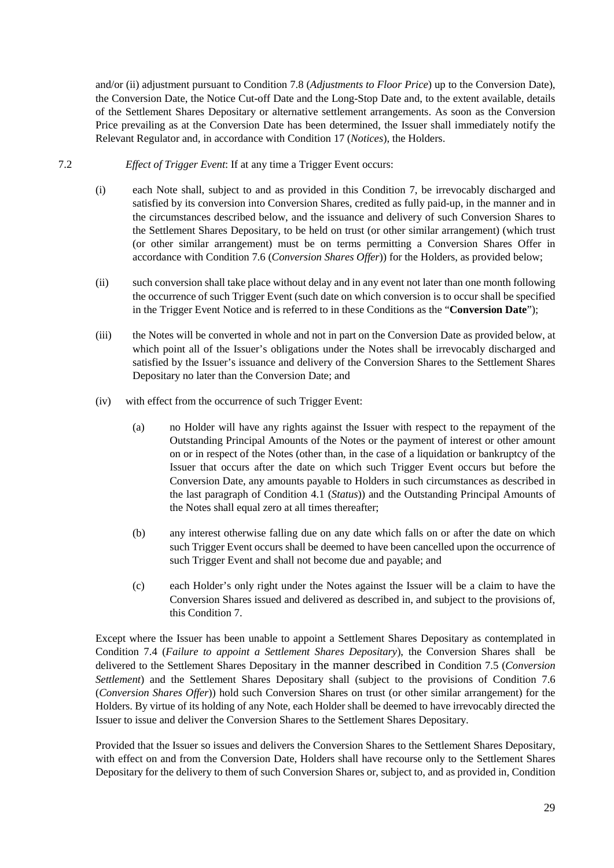and/or (ii) adjustment pursuant to Condition 7.8 (*Adjustments to Floor Price*) up to the Conversion Date), the Conversion Date, the Notice Cut-off Date and the Long-Stop Date and, to the extent available, details of the Settlement Shares Depositary or alternative settlement arrangements. As soon as the Conversion Price prevailing as at the Conversion Date has been determined, the Issuer shall immediately notify the Relevant Regulator and, in accordance with Condition 17 (*Notices*), the Holders.

- 7.2 *Effect of Trigger Event*: If at any time a Trigger Event occurs:
	- (i) each Note shall, subject to and as provided in this Condition 7, be irrevocably discharged and satisfied by its conversion into Conversion Shares, credited as fully paid-up, in the manner and in the circumstances described below, and the issuance and delivery of such Conversion Shares to the Settlement Shares Depositary, to be held on trust (or other similar arrangement) (which trust (or other similar arrangement) must be on terms permitting a Conversion Shares Offer in accordance with Condition 7.6 (*Conversion Shares Offer*)) for the Holders, as provided below;
	- (ii) such conversion shall take place without delay and in any event not later than one month following the occurrence of such Trigger Event (such date on which conversion is to occur shall be specified in the Trigger Event Notice and is referred to in these Conditions as the "**Conversion Date**");
	- (iii) the Notes will be converted in whole and not in part on the Conversion Date as provided below, at which point all of the Issuer's obligations under the Notes shall be irrevocably discharged and satisfied by the Issuer's issuance and delivery of the Conversion Shares to the Settlement Shares Depositary no later than the Conversion Date; and
	- (iv) with effect from the occurrence of such Trigger Event:
		- (a) no Holder will have any rights against the Issuer with respect to the repayment of the Outstanding Principal Amounts of the Notes or the payment of interest or other amount on or in respect of the Notes (other than, in the case of a liquidation or bankruptcy of the Issuer that occurs after the date on which such Trigger Event occurs but before the Conversion Date, any amounts payable to Holders in such circumstances as described in the last paragraph of Condition 4.1 (*Status*)) and the Outstanding Principal Amounts of the Notes shall equal zero at all times thereafter;
		- (b) any interest otherwise falling due on any date which falls on or after the date on which such Trigger Event occurs shall be deemed to have been cancelled upon the occurrence of such Trigger Event and shall not become due and payable; and
		- (c) each Holder's only right under the Notes against the Issuer will be a claim to have the Conversion Shares issued and delivered as described in, and subject to the provisions of, this Condition 7.

Except where the Issuer has been unable to appoint a Settlement Shares Depositary as contemplated in Condition 7.4 (*Failure to appoint a Settlement Shares Depositary*), the Conversion Shares shall be delivered to the Settlement Shares Depositary in the manner described in Condition 7.5 (*Conversion Settlement*) and the Settlement Shares Depositary shall (subject to the provisions of Condition 7.6 (*Conversion Shares Offer*)) hold such Conversion Shares on trust (or other similar arrangement) for the Holders. By virtue of its holding of any Note, each Holder shall be deemed to have irrevocably directed the Issuer to issue and deliver the Conversion Shares to the Settlement Shares Depositary.

Provided that the Issuer so issues and delivers the Conversion Shares to the Settlement Shares Depositary, with effect on and from the Conversion Date, Holders shall have recourse only to the Settlement Shares Depositary for the delivery to them of such Conversion Shares or, subject to, and as provided in, Condition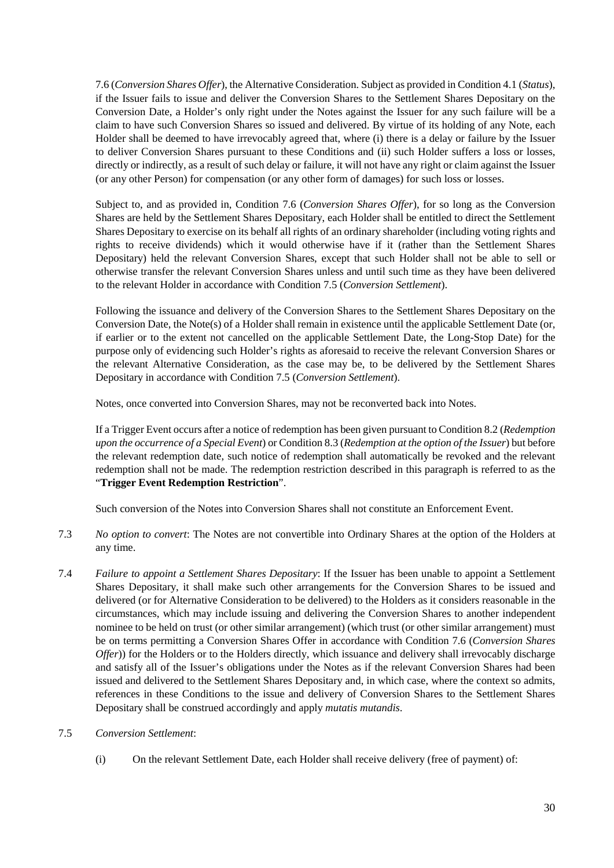7.6 (*Conversion Shares Offer*), the Alternative Consideration. Subject as provided in Condition 4.1 (*Status*), if the Issuer fails to issue and deliver the Conversion Shares to the Settlement Shares Depositary on the Conversion Date, a Holder's only right under the Notes against the Issuer for any such failure will be a claim to have such Conversion Shares so issued and delivered. By virtue of its holding of any Note, each Holder shall be deemed to have irrevocably agreed that, where (i) there is a delay or failure by the Issuer to deliver Conversion Shares pursuant to these Conditions and (ii) such Holder suffers a loss or losses, directly or indirectly, as a result of such delay or failure, it will not have any right or claim against the Issuer (or any other Person) for compensation (or any other form of damages) for such loss or losses.

Subject to, and as provided in, Condition 7.6 (*Conversion Shares Offer*), for so long as the Conversion Shares are held by the Settlement Shares Depositary, each Holder shall be entitled to direct the Settlement Shares Depositary to exercise on its behalf all rights of an ordinary shareholder (including voting rights and rights to receive dividends) which it would otherwise have if it (rather than the Settlement Shares Depositary) held the relevant Conversion Shares, except that such Holder shall not be able to sell or otherwise transfer the relevant Conversion Shares unless and until such time as they have been delivered to the relevant Holder in accordance with Condition 7.5 (*Conversion Settlement*).

Following the issuance and delivery of the Conversion Shares to the Settlement Shares Depositary on the Conversion Date, the Note(s) of a Holder shall remain in existence until the applicable Settlement Date (or, if earlier or to the extent not cancelled on the applicable Settlement Date, the Long-Stop Date) for the purpose only of evidencing such Holder's rights as aforesaid to receive the relevant Conversion Shares or the relevant Alternative Consideration, as the case may be, to be delivered by the Settlement Shares Depositary in accordance with Condition 7.5 (*Conversion Settlement*).

Notes, once converted into Conversion Shares, may not be reconverted back into Notes.

If a Trigger Event occurs after a notice of redemption has been given pursuant to Condition 8.2 (*Redemption upon the occurrence of a Special Event*) or Condition 8.3 (*Redemption at the option of the Issuer*) but before the relevant redemption date, such notice of redemption shall automatically be revoked and the relevant redemption shall not be made. The redemption restriction described in this paragraph is referred to as the "**Trigger Event Redemption Restriction**".

Such conversion of the Notes into Conversion Shares shall not constitute an Enforcement Event.

- 7.3 *No option to convert*: The Notes are not convertible into Ordinary Shares at the option of the Holders at any time.
- 7.4 *Failure to appoint a Settlement Shares Depositary*: If the Issuer has been unable to appoint a Settlement Shares Depositary, it shall make such other arrangements for the Conversion Shares to be issued and delivered (or for Alternative Consideration to be delivered) to the Holders as it considers reasonable in the circumstances, which may include issuing and delivering the Conversion Shares to another independent nominee to be held on trust (or other similar arrangement) (which trust (or other similar arrangement) must be on terms permitting a Conversion Shares Offer in accordance with Condition 7.6 (*Conversion Shares Offer*)) for the Holders or to the Holders directly, which issuance and delivery shall irrevocably discharge and satisfy all of the Issuer's obligations under the Notes as if the relevant Conversion Shares had been issued and delivered to the Settlement Shares Depositary and, in which case, where the context so admits, references in these Conditions to the issue and delivery of Conversion Shares to the Settlement Shares Depositary shall be construed accordingly and apply *mutatis mutandis*.
- 7.5 *Conversion Settlement*:
	- (i) On the relevant Settlement Date, each Holder shall receive delivery (free of payment) of: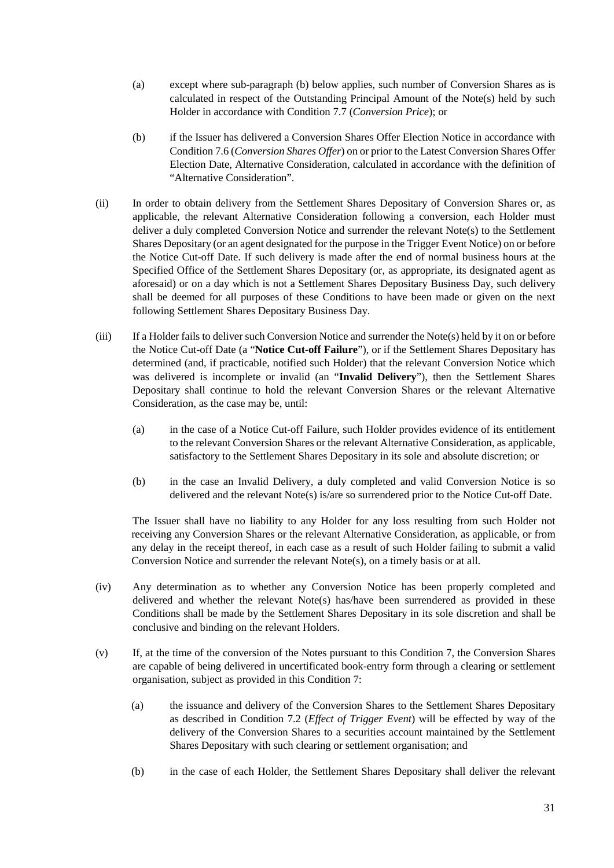- (a) except where sub-paragraph (b) below applies, such number of Conversion Shares as is calculated in respect of the Outstanding Principal Amount of the Note(s) held by such Holder in accordance with Condition 7.7 (*Conversion Price*); or
- (b) if the Issuer has delivered a Conversion Shares Offer Election Notice in accordance with Condition 7.6 (*Conversion Shares Offer*) on or prior to the Latest Conversion Shares Offer Election Date, Alternative Consideration, calculated in accordance with the definition of "Alternative Consideration".
- (ii) In order to obtain delivery from the Settlement Shares Depositary of Conversion Shares or, as applicable, the relevant Alternative Consideration following a conversion, each Holder must deliver a duly completed Conversion Notice and surrender the relevant Note(s) to the Settlement Shares Depositary (or an agent designated for the purpose in the Trigger Event Notice) on or before the Notice Cut-off Date. If such delivery is made after the end of normal business hours at the Specified Office of the Settlement Shares Depositary (or, as appropriate, its designated agent as aforesaid) or on a day which is not a Settlement Shares Depositary Business Day, such delivery shall be deemed for all purposes of these Conditions to have been made or given on the next following Settlement Shares Depositary Business Day.
- (iii) If a Holder fails to deliver such Conversion Notice and surrender the Note(s) held by it on or before the Notice Cut-off Date (a "**Notice Cut-off Failure**"), or if the Settlement Shares Depositary has determined (and, if practicable, notified such Holder) that the relevant Conversion Notice which was delivered is incomplete or invalid (an "**Invalid Delivery**"), then the Settlement Shares Depositary shall continue to hold the relevant Conversion Shares or the relevant Alternative Consideration, as the case may be, until:
	- (a) in the case of a Notice Cut-off Failure, such Holder provides evidence of its entitlement to the relevant Conversion Shares or the relevant Alternative Consideration, as applicable, satisfactory to the Settlement Shares Depositary in its sole and absolute discretion; or
	- (b) in the case an Invalid Delivery, a duly completed and valid Conversion Notice is so delivered and the relevant Note(s) is/are so surrendered prior to the Notice Cut-off Date.

The Issuer shall have no liability to any Holder for any loss resulting from such Holder not receiving any Conversion Shares or the relevant Alternative Consideration, as applicable, or from any delay in the receipt thereof, in each case as a result of such Holder failing to submit a valid Conversion Notice and surrender the relevant Note(s), on a timely basis or at all.

- (iv) Any determination as to whether any Conversion Notice has been properly completed and delivered and whether the relevant Note(s) has/have been surrendered as provided in these Conditions shall be made by the Settlement Shares Depositary in its sole discretion and shall be conclusive and binding on the relevant Holders.
- (v) If, at the time of the conversion of the Notes pursuant to this Condition 7, the Conversion Shares are capable of being delivered in uncertificated book-entry form through a clearing or settlement organisation, subject as provided in this Condition 7:
	- (a) the issuance and delivery of the Conversion Shares to the Settlement Shares Depositary as described in Condition 7.2 (*Effect of Trigger Event*) will be effected by way of the delivery of the Conversion Shares to a securities account maintained by the Settlement Shares Depositary with such clearing or settlement organisation; and
	- (b) in the case of each Holder, the Settlement Shares Depositary shall deliver the relevant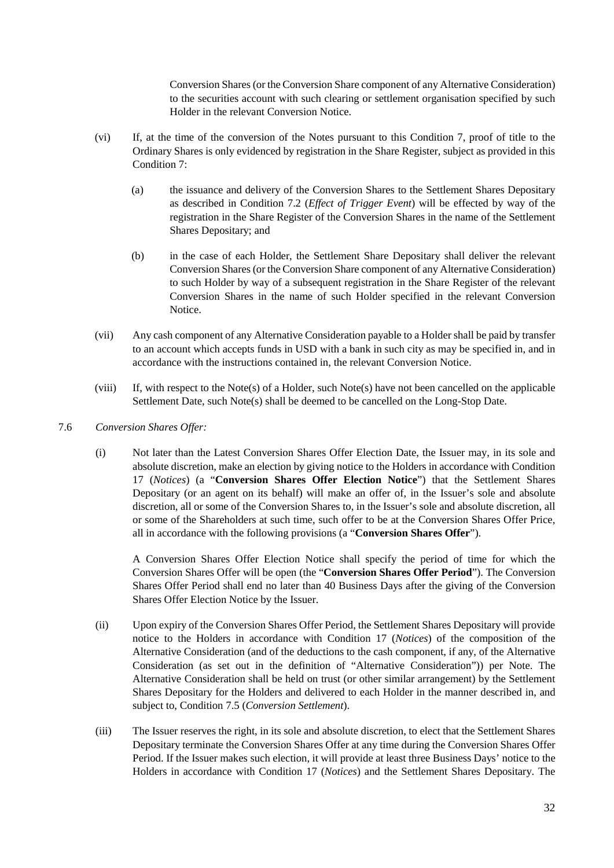Conversion Shares (or the Conversion Share component of any Alternative Consideration) to the securities account with such clearing or settlement organisation specified by such Holder in the relevant Conversion Notice.

- (vi) If, at the time of the conversion of the Notes pursuant to this Condition 7, proof of title to the Ordinary Shares is only evidenced by registration in the Share Register, subject as provided in this Condition 7:
	- (a) the issuance and delivery of the Conversion Shares to the Settlement Shares Depositary as described in Condition 7.2 (*Effect of Trigger Event*) will be effected by way of the registration in the Share Register of the Conversion Shares in the name of the Settlement Shares Depositary; and
	- (b) in the case of each Holder, the Settlement Share Depositary shall deliver the relevant Conversion Shares (or the Conversion Share component of any Alternative Consideration) to such Holder by way of a subsequent registration in the Share Register of the relevant Conversion Shares in the name of such Holder specified in the relevant Conversion Notice.
- (vii) Any cash component of any Alternative Consideration payable to a Holder shall be paid by transfer to an account which accepts funds in USD with a bank in such city as may be specified in, and in accordance with the instructions contained in, the relevant Conversion Notice.
- (viii) If, with respect to the Note(s) of a Holder, such Note(s) have not been cancelled on the applicable Settlement Date, such Note(s) shall be deemed to be cancelled on the Long-Stop Date.
- 7.6 *Conversion Shares Offer:*
	- (i) Not later than the Latest Conversion Shares Offer Election Date, the Issuer may, in its sole and absolute discretion, make an election by giving notice to the Holders in accordance with Condition 17 (*Notices*) (a "**Conversion Shares Offer Election Notice**") that the Settlement Shares Depositary (or an agent on its behalf) will make an offer of, in the Issuer's sole and absolute discretion, all or some of the Conversion Shares to, in the Issuer's sole and absolute discretion, all or some of the Shareholders at such time, such offer to be at the Conversion Shares Offer Price, all in accordance with the following provisions (a "**Conversion Shares Offer**").

A Conversion Shares Offer Election Notice shall specify the period of time for which the Conversion Shares Offer will be open (the "**Conversion Shares Offer Period**"). The Conversion Shares Offer Period shall end no later than 40 Business Days after the giving of the Conversion Shares Offer Election Notice by the Issuer.

- (ii) Upon expiry of the Conversion Shares Offer Period, the Settlement Shares Depositary will provide notice to the Holders in accordance with Condition 17 (*Notices*) of the composition of the Alternative Consideration (and of the deductions to the cash component, if any, of the Alternative Consideration (as set out in the definition of "Alternative Consideration")) per Note. The Alternative Consideration shall be held on trust (or other similar arrangement) by the Settlement Shares Depositary for the Holders and delivered to each Holder in the manner described in, and subject to, Condition 7.5 (*Conversion Settlement*).
- (iii) The Issuer reserves the right, in its sole and absolute discretion, to elect that the Settlement Shares Depositary terminate the Conversion Shares Offer at any time during the Conversion Shares Offer Period. If the Issuer makes such election, it will provide at least three Business Days' notice to the Holders in accordance with Condition 17 (*Notices*) and the Settlement Shares Depositary. The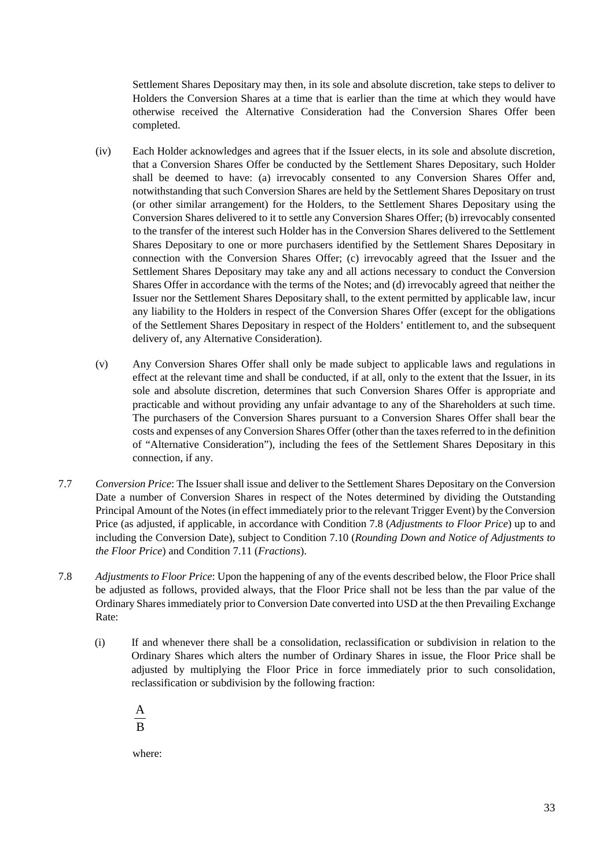Settlement Shares Depositary may then, in its sole and absolute discretion, take steps to deliver to Holders the Conversion Shares at a time that is earlier than the time at which they would have otherwise received the Alternative Consideration had the Conversion Shares Offer been completed.

- (iv) Each Holder acknowledges and agrees that if the Issuer elects, in its sole and absolute discretion, that a Conversion Shares Offer be conducted by the Settlement Shares Depositary, such Holder shall be deemed to have: (a) irrevocably consented to any Conversion Shares Offer and, notwithstanding that such Conversion Shares are held by the Settlement Shares Depositary on trust (or other similar arrangement) for the Holders, to the Settlement Shares Depositary using the Conversion Shares delivered to it to settle any Conversion Shares Offer; (b) irrevocably consented to the transfer of the interest such Holder has in the Conversion Shares delivered to the Settlement Shares Depositary to one or more purchasers identified by the Settlement Shares Depositary in connection with the Conversion Shares Offer; (c) irrevocably agreed that the Issuer and the Settlement Shares Depositary may take any and all actions necessary to conduct the Conversion Shares Offer in accordance with the terms of the Notes; and (d) irrevocably agreed that neither the Issuer nor the Settlement Shares Depositary shall, to the extent permitted by applicable law, incur any liability to the Holders in respect of the Conversion Shares Offer (except for the obligations of the Settlement Shares Depositary in respect of the Holders' entitlement to, and the subsequent delivery of, any Alternative Consideration).
- (v) Any Conversion Shares Offer shall only be made subject to applicable laws and regulations in effect at the relevant time and shall be conducted, if at all, only to the extent that the Issuer, in its sole and absolute discretion, determines that such Conversion Shares Offer is appropriate and practicable and without providing any unfair advantage to any of the Shareholders at such time. The purchasers of the Conversion Shares pursuant to a Conversion Shares Offer shall bear the costs and expenses of any Conversion Shares Offer (other than the taxes referred to in the definition of "Alternative Consideration"), including the fees of the Settlement Shares Depositary in this connection, if any.
- 7.7 *Conversion Price*: The Issuer shall issue and deliver to the Settlement Shares Depositary on the Conversion Date a number of Conversion Shares in respect of the Notes determined by dividing the Outstanding Principal Amount of the Notes (in effect immediately prior to the relevant Trigger Event) by the Conversion Price (as adjusted, if applicable, in accordance with Condition 7.8 (*Adjustments to Floor Price*) up to and including the Conversion Date), subject to Condition 7.10 (*Rounding Down and Notice of Adjustments to the Floor Price*) and Condition 7.11 (*Fractions*).
- 7.8 *Adjustments to Floor Price*: Upon the happening of any of the events described below, the Floor Price shall be adjusted as follows, provided always, that the Floor Price shall not be less than the par value of the Ordinary Shares immediately prior to Conversion Date converted into USD at the then Prevailing Exchange Rate:
	- (i) If and whenever there shall be a consolidation, reclassification or subdivision in relation to the Ordinary Shares which alters the number of Ordinary Shares in issue, the Floor Price shall be adjusted by multiplying the Floor Price in force immediately prior to such consolidation, reclassification or subdivision by the following fraction:
		- B A

where: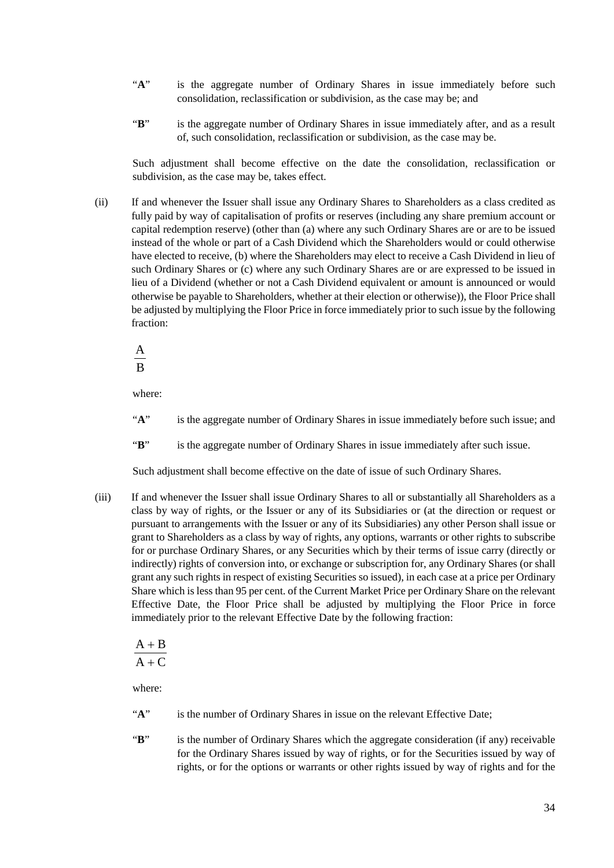- "A" is the aggregate number of Ordinary Shares in issue immediately before such consolidation, reclassification or subdivision, as the case may be; and
- "**B**" is the aggregate number of Ordinary Shares in issue immediately after, and as a result of, such consolidation, reclassification or subdivision, as the case may be.

Such adjustment shall become effective on the date the consolidation, reclassification or subdivision, as the case may be, takes effect.

(ii) If and whenever the Issuer shall issue any Ordinary Shares to Shareholders as a class credited as fully paid by way of capitalisation of profits or reserves (including any share premium account or capital redemption reserve) (other than (a) where any such Ordinary Shares are or are to be issued instead of the whole or part of a Cash Dividend which the Shareholders would or could otherwise have elected to receive, (b) where the Shareholders may elect to receive a Cash Dividend in lieu of such Ordinary Shares or (c) where any such Ordinary Shares are or are expressed to be issued in lieu of a Dividend (whether or not a Cash Dividend equivalent or amount is announced or would otherwise be payable to Shareholders, whether at their election or otherwise)), the Floor Price shall be adjusted by multiplying the Floor Price in force immediately prior to such issue by the following fraction:

B A

where:

- "A" is the aggregate number of Ordinary Shares in issue immediately before such issue; and
- "**B**" is the aggregate number of Ordinary Shares in issue immediately after such issue.

Such adjustment shall become effective on the date of issue of such Ordinary Shares.

(iii) If and whenever the Issuer shall issue Ordinary Shares to all or substantially all Shareholders as a class by way of rights, or the Issuer or any of its Subsidiaries or (at the direction or request or pursuant to arrangements with the Issuer or any of its Subsidiaries) any other Person shall issue or grant to Shareholders as a class by way of rights, any options, warrants or other rights to subscribe for or purchase Ordinary Shares, or any Securities which by their terms of issue carry (directly or indirectly) rights of conversion into, or exchange or subscription for, any Ordinary Shares (or shall grant any such rights in respect of existing Securities so issued), in each case at a price per Ordinary Share which is less than 95 per cent. of the Current Market Price per Ordinary Share on the relevant Effective Date, the Floor Price shall be adjusted by multiplying the Floor Price in force immediately prior to the relevant Effective Date by the following fraction:

$$
\displaystyle \frac{A+B}{A+C}
$$

where:

- "A" is the number of Ordinary Shares in issue on the relevant Effective Date;
- "**B**" is the number of Ordinary Shares which the aggregate consideration (if any) receivable for the Ordinary Shares issued by way of rights, or for the Securities issued by way of rights, or for the options or warrants or other rights issued by way of rights and for the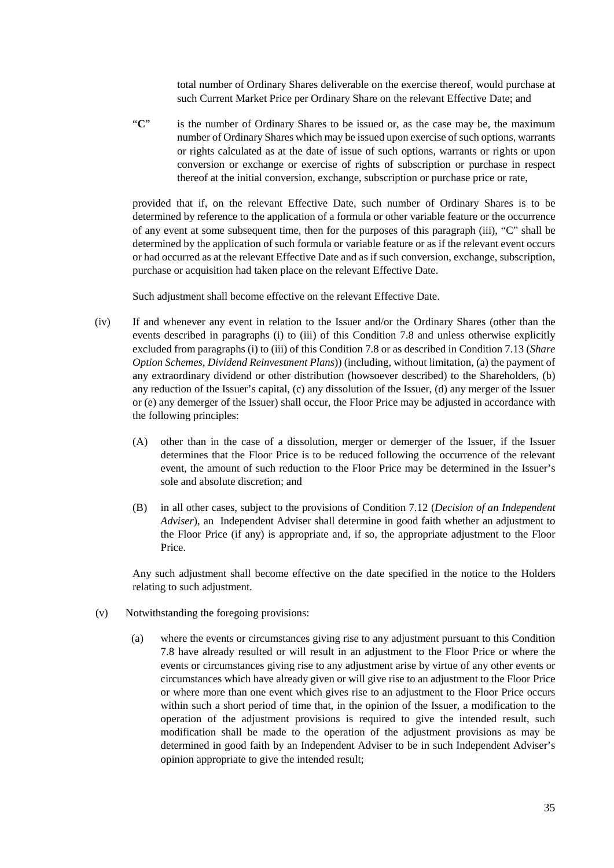total number of Ordinary Shares deliverable on the exercise thereof, would purchase at such Current Market Price per Ordinary Share on the relevant Effective Date; and

"**C**" is the number of Ordinary Shares to be issued or, as the case may be, the maximum number of Ordinary Shares which may be issued upon exercise of such options, warrants or rights calculated as at the date of issue of such options, warrants or rights or upon conversion or exchange or exercise of rights of subscription or purchase in respect thereof at the initial conversion, exchange, subscription or purchase price or rate,

provided that if, on the relevant Effective Date, such number of Ordinary Shares is to be determined by reference to the application of a formula or other variable feature or the occurrence of any event at some subsequent time, then for the purposes of this paragraph (iii), "C" shall be determined by the application of such formula or variable feature or as if the relevant event occurs or had occurred as at the relevant Effective Date and as if such conversion, exchange, subscription, purchase or acquisition had taken place on the relevant Effective Date.

Such adjustment shall become effective on the relevant Effective Date.

- (iv) If and whenever any event in relation to the Issuer and/or the Ordinary Shares (other than the events described in paragraphs (i) to (iii) of this Condition 7.8 and unless otherwise explicitly excluded from paragraphs (i) to (iii) of this Condition 7.8 or as described in Condition 7.13 (*Share Option Schemes, Dividend Reinvestment Plans*)) (including, without limitation, (a) the payment of any extraordinary dividend or other distribution (howsoever described) to the Shareholders, (b) any reduction of the Issuer's capital, (c) any dissolution of the Issuer, (d) any merger of the Issuer or (e) any demerger of the Issuer) shall occur, the Floor Price may be adjusted in accordance with the following principles:
	- (A) other than in the case of a dissolution, merger or demerger of the Issuer, if the Issuer determines that the Floor Price is to be reduced following the occurrence of the relevant event, the amount of such reduction to the Floor Price may be determined in the Issuer's sole and absolute discretion; and
	- (B) in all other cases, subject to the provisions of Condition 7.12 (*Decision of an Independent Adviser*), an Independent Adviser shall determine in good faith whether an adjustment to the Floor Price (if any) is appropriate and, if so, the appropriate adjustment to the Floor Price.

Any such adjustment shall become effective on the date specified in the notice to the Holders relating to such adjustment.

- (v) Notwithstanding the foregoing provisions:
	- (a) where the events or circumstances giving rise to any adjustment pursuant to this Condition 7.8 have already resulted or will result in an adjustment to the Floor Price or where the events or circumstances giving rise to any adjustment arise by virtue of any other events or circumstances which have already given or will give rise to an adjustment to the Floor Price or where more than one event which gives rise to an adjustment to the Floor Price occurs within such a short period of time that, in the opinion of the Issuer, a modification to the operation of the adjustment provisions is required to give the intended result, such modification shall be made to the operation of the adjustment provisions as may be determined in good faith by an Independent Adviser to be in such Independent Adviser's opinion appropriate to give the intended result;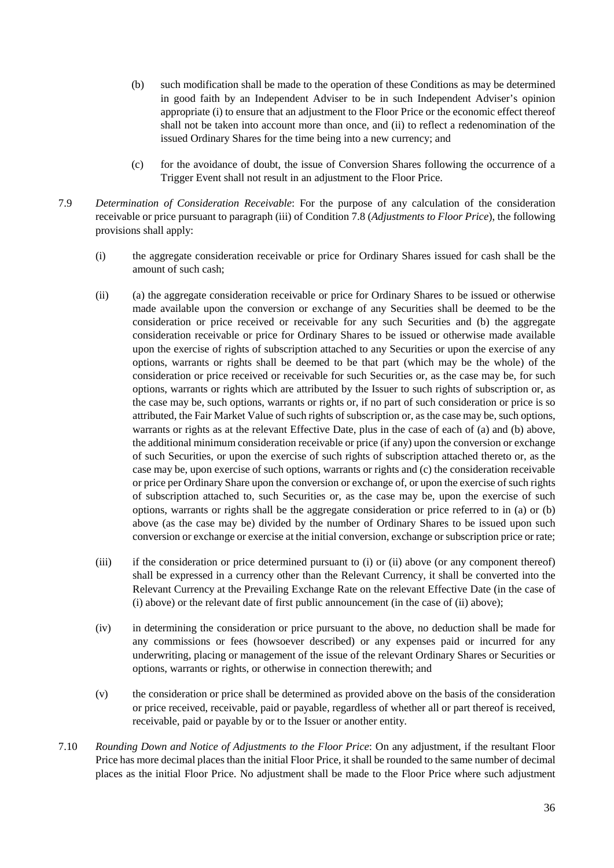- (b) such modification shall be made to the operation of these Conditions as may be determined in good faith by an Independent Adviser to be in such Independent Adviser's opinion appropriate (i) to ensure that an adjustment to the Floor Price or the economic effect thereof shall not be taken into account more than once, and (ii) to reflect a redenomination of the issued Ordinary Shares for the time being into a new currency; and
- (c) for the avoidance of doubt, the issue of Conversion Shares following the occurrence of a Trigger Event shall not result in an adjustment to the Floor Price.
- 7.9 *Determination of Consideration Receivable*: For the purpose of any calculation of the consideration receivable or price pursuant to paragraph (iii) of Condition 7.8 (*Adjustments to Floor Price*), the following provisions shall apply:
	- (i) the aggregate consideration receivable or price for Ordinary Shares issued for cash shall be the amount of such cash;
	- (ii) (a) the aggregate consideration receivable or price for Ordinary Shares to be issued or otherwise made available upon the conversion or exchange of any Securities shall be deemed to be the consideration or price received or receivable for any such Securities and (b) the aggregate consideration receivable or price for Ordinary Shares to be issued or otherwise made available upon the exercise of rights of subscription attached to any Securities or upon the exercise of any options, warrants or rights shall be deemed to be that part (which may be the whole) of the consideration or price received or receivable for such Securities or, as the case may be, for such options, warrants or rights which are attributed by the Issuer to such rights of subscription or, as the case may be, such options, warrants or rights or, if no part of such consideration or price is so attributed, the Fair Market Value of such rights of subscription or, as the case may be, such options, warrants or rights as at the relevant Effective Date, plus in the case of each of (a) and (b) above, the additional minimum consideration receivable or price (if any) upon the conversion or exchange of such Securities, or upon the exercise of such rights of subscription attached thereto or, as the case may be, upon exercise of such options, warrants or rights and (c) the consideration receivable or price per Ordinary Share upon the conversion or exchange of, or upon the exercise of such rights of subscription attached to, such Securities or, as the case may be, upon the exercise of such options, warrants or rights shall be the aggregate consideration or price referred to in (a) or (b) above (as the case may be) divided by the number of Ordinary Shares to be issued upon such conversion or exchange or exercise at the initial conversion, exchange or subscription price or rate;
	- (iii) if the consideration or price determined pursuant to (i) or (ii) above (or any component thereof) shall be expressed in a currency other than the Relevant Currency, it shall be converted into the Relevant Currency at the Prevailing Exchange Rate on the relevant Effective Date (in the case of (i) above) or the relevant date of first public announcement (in the case of (ii) above);
	- (iv) in determining the consideration or price pursuant to the above, no deduction shall be made for any commissions or fees (howsoever described) or any expenses paid or incurred for any underwriting, placing or management of the issue of the relevant Ordinary Shares or Securities or options, warrants or rights, or otherwise in connection therewith; and
	- (v) the consideration or price shall be determined as provided above on the basis of the consideration or price received, receivable, paid or payable, regardless of whether all or part thereof is received, receivable, paid or payable by or to the Issuer or another entity.
- 7.10 *Rounding Down and Notice of Adjustments to the Floor Price*: On any adjustment, if the resultant Floor Price has more decimal places than the initial Floor Price, it shall be rounded to the same number of decimal places as the initial Floor Price. No adjustment shall be made to the Floor Price where such adjustment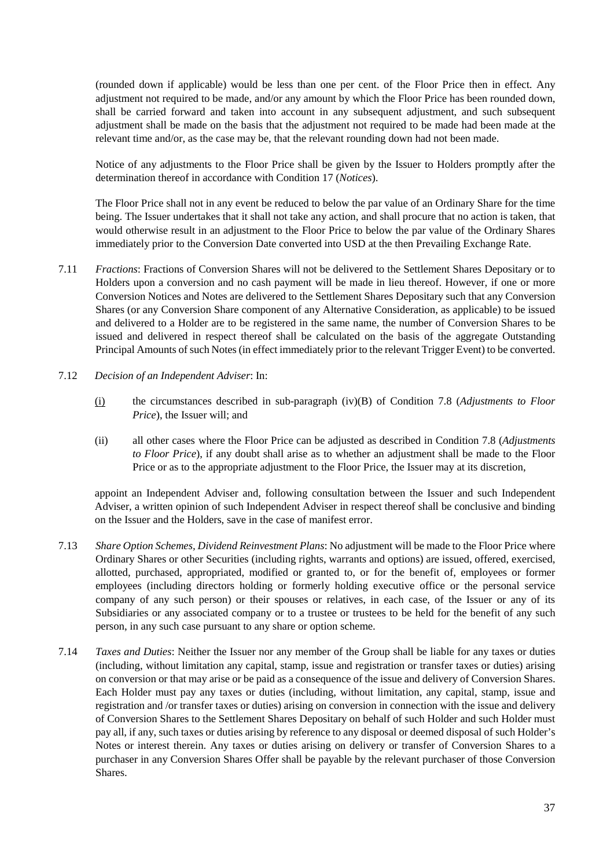(rounded down if applicable) would be less than one per cent. of the Floor Price then in effect. Any adjustment not required to be made, and/or any amount by which the Floor Price has been rounded down, shall be carried forward and taken into account in any subsequent adjustment, and such subsequent adjustment shall be made on the basis that the adjustment not required to be made had been made at the relevant time and/or, as the case may be, that the relevant rounding down had not been made.

Notice of any adjustments to the Floor Price shall be given by the Issuer to Holders promptly after the determination thereof in accordance with Condition 17 (*Notices*).

The Floor Price shall not in any event be reduced to below the par value of an Ordinary Share for the time being. The Issuer undertakes that it shall not take any action, and shall procure that no action is taken, that would otherwise result in an adjustment to the Floor Price to below the par value of the Ordinary Shares immediately prior to the Conversion Date converted into USD at the then Prevailing Exchange Rate.

- 7.11 *Fractions*: Fractions of Conversion Shares will not be delivered to the Settlement Shares Depositary or to Holders upon a conversion and no cash payment will be made in lieu thereof. However, if one or more Conversion Notices and Notes are delivered to the Settlement Shares Depositary such that any Conversion Shares (or any Conversion Share component of any Alternative Consideration, as applicable) to be issued and delivered to a Holder are to be registered in the same name, the number of Conversion Shares to be issued and delivered in respect thereof shall be calculated on the basis of the aggregate Outstanding Principal Amounts of such Notes (in effect immediately prior to the relevant Trigger Event) to be converted.
- 7.12 *Decision of an Independent Adviser*: In:
	- (i) the circumstances described in sub-paragraph (iv)(B) of Condition 7.8 (*Adjustments to Floor Price*), the Issuer will; and
	- (ii) all other cases where the Floor Price can be adjusted as described in Condition 7.8 (*Adjustments to Floor Price*), if any doubt shall arise as to whether an adjustment shall be made to the Floor Price or as to the appropriate adjustment to the Floor Price, the Issuer may at its discretion,

appoint an Independent Adviser and, following consultation between the Issuer and such Independent Adviser, a written opinion of such Independent Adviser in respect thereof shall be conclusive and binding on the Issuer and the Holders, save in the case of manifest error.

- 7.13 *Share Option Schemes, Dividend Reinvestment Plans*: No adjustment will be made to the Floor Price where Ordinary Shares or other Securities (including rights, warrants and options) are issued, offered, exercised, allotted, purchased, appropriated, modified or granted to, or for the benefit of, employees or former employees (including directors holding or formerly holding executive office or the personal service company of any such person) or their spouses or relatives, in each case, of the Issuer or any of its Subsidiaries or any associated company or to a trustee or trustees to be held for the benefit of any such person, in any such case pursuant to any share or option scheme.
- 7.14 *Taxes and Duties*: Neither the Issuer nor any member of the Group shall be liable for any taxes or duties (including, without limitation any capital, stamp, issue and registration or transfer taxes or duties) arising on conversion or that may arise or be paid as a consequence of the issue and delivery of Conversion Shares. Each Holder must pay any taxes or duties (including, without limitation, any capital, stamp, issue and registration and /or transfer taxes or duties) arising on conversion in connection with the issue and delivery of Conversion Shares to the Settlement Shares Depositary on behalf of such Holder and such Holder must pay all, if any, such taxes or duties arising by reference to any disposal or deemed disposal of such Holder's Notes or interest therein. Any taxes or duties arising on delivery or transfer of Conversion Shares to a purchaser in any Conversion Shares Offer shall be payable by the relevant purchaser of those Conversion Shares.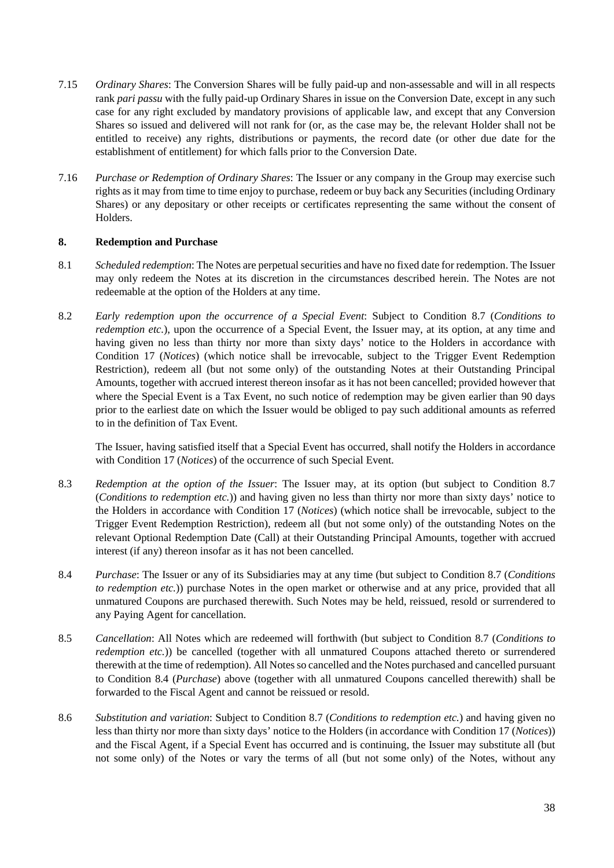- 7.15 *Ordinary Shares*: The Conversion Shares will be fully paid-up and non-assessable and will in all respects rank *pari passu* with the fully paid-up Ordinary Shares in issue on the Conversion Date, except in any such case for any right excluded by mandatory provisions of applicable law, and except that any Conversion Shares so issued and delivered will not rank for (or, as the case may be, the relevant Holder shall not be entitled to receive) any rights, distributions or payments, the record date (or other due date for the establishment of entitlement) for which falls prior to the Conversion Date.
- 7.16 *Purchase or Redemption of Ordinary Shares*: The Issuer or any company in the Group may exercise such rights as it may from time to time enjoy to purchase, redeem or buy back any Securities (including Ordinary Shares) or any depositary or other receipts or certificates representing the same without the consent of Holders.

### **8. Redemption and Purchase**

- 8.1 *Scheduled redemption*: The Notes are perpetual securities and have no fixed date for redemption. The Issuer may only redeem the Notes at its discretion in the circumstances described herein. The Notes are not redeemable at the option of the Holders at any time.
- 8.2 *Early redemption upon the occurrence of a Special Event*: Subject to Condition 8.7 (*Conditions to redemption etc.*), upon the occurrence of a Special Event, the Issuer may, at its option, at any time and having given no less than thirty nor more than sixty days' notice to the Holders in accordance with Condition 17 (*Notices*) (which notice shall be irrevocable, subject to the Trigger Event Redemption Restriction), redeem all (but not some only) of the outstanding Notes at their Outstanding Principal Amounts, together with accrued interest thereon insofar as it has not been cancelled; provided however that where the Special Event is a Tax Event, no such notice of redemption may be given earlier than 90 days prior to the earliest date on which the Issuer would be obliged to pay such additional amounts as referred to in the definition of Tax Event.

The Issuer, having satisfied itself that a Special Event has occurred, shall notify the Holders in accordance with Condition [17](#page-42-0) (*Notices*) of the occurrence of such Special Event.

- 8.3 *Redemption at the option of the Issuer*: The Issuer may, at its option (but subject to Condition [8.7](#page-38-0) (*Conditions to redemption etc.*)) and having given no less than thirty nor more than sixty days' notice to the Holders in accordance with Condition [17](#page-42-0) (*Notices*) (which notice shall be irrevocable, subject to the Trigger Event Redemption Restriction), redeem all (but not some only) of the outstanding Notes on the relevant Optional Redemption Date (Call) at their Outstanding Principal Amounts, together with accrued interest (if any) thereon insofar as it has not been cancelled.
- 8.4 *Purchase*: The Issuer or any of its Subsidiaries may at any time (but subject to Condition [8.7](#page-38-0) (*Conditions to redemption etc.*)) purchase Notes in the open market or otherwise and at any price, provided that all unmatured Coupons are purchased therewith. Such Notes may be held, reissued, resold or surrendered to any Paying Agent for cancellation.
- <span id="page-37-1"></span>8.5 *Cancellation*: All Notes which are redeemed will forthwith (but subject to Condition [8.7](#page-38-0) (*Conditions to redemption etc.*)) be cancelled (together with all unmatured Coupons attached thereto or surrendered therewith at the time of redemption). All Notes so cancelled and the Notes purchased and cancelled pursuant to Condition 8.4 (*Purchase*) above (together with all unmatured Coupons cancelled therewith) shall be forwarded to the Fiscal Agent and cannot be reissued or resold.
- <span id="page-37-0"></span>8.6 *Substitution and variation*: Subject to Condition 8.7 (*Conditions to redemption etc.*) and having given no less than thirty nor more than sixty days' notice to the Holders (in accordance with Conditio[n 17](#page-42-0) (*Notices*)) and the Fiscal Agent, if a Special Event has occurred and is continuing, the Issuer may substitute all (but not some only) of the Notes or vary the terms of all (but not some only) of the Notes, without any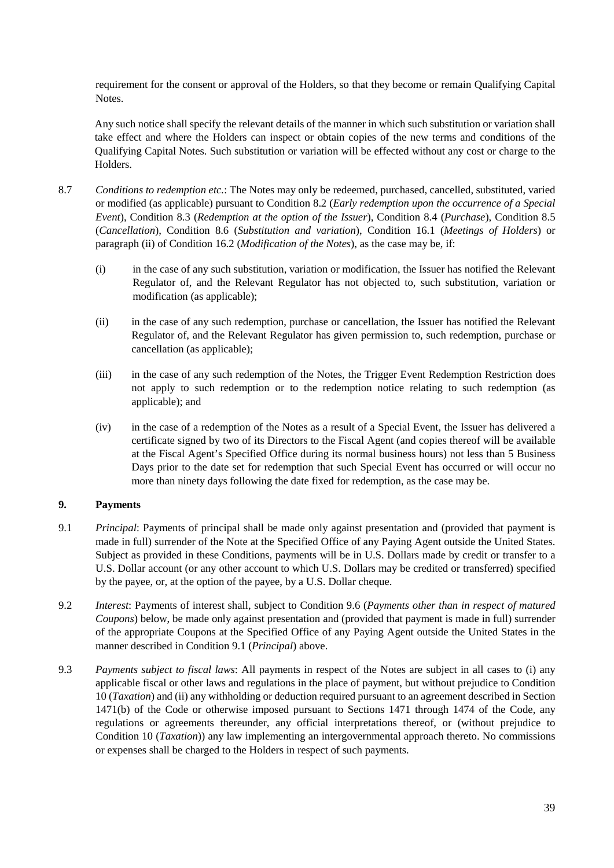requirement for the consent or approval of the Holders, so that they become or remain Qualifying Capital Notes.

Any such notice shall specify the relevant details of the manner in which such substitution or variation shall take effect and where the Holders can inspect or obtain copies of the new terms and conditions of the Qualifying Capital Notes. Such substitution or variation will be effected without any cost or charge to the Holders.

- <span id="page-38-0"></span>8.7 *Conditions to redemption etc.*: The Notes may only be redeemed, purchased, cancelled, substituted, varied or modified (as applicable) pursuant to Condition 8.2 (*Early redemption upon the occurrence of a Special Event*), Condition 8.3 (*Redemption at the option of the Issuer*), Condition 8.4 (*Purchase*), Condition [8.5](#page-37-1) (*Cancellation*), Condition [8.6](#page-37-0) (*Substitution and variation*), Condition 16.1 (*Meetings of Holders*) or paragraph (ii) of Condition 16.2 (*Modification of the Notes*), as the case may be, if:
	- (i) in the case of any such substitution, variation or modification, the Issuer has notified the Relevant Regulator of, and the Relevant Regulator has not objected to, such substitution, variation or modification (as applicable);
	- (ii) in the case of any such redemption, purchase or cancellation, the Issuer has notified the Relevant Regulator of, and the Relevant Regulator has given permission to, such redemption, purchase or cancellation (as applicable);
	- (iii) in the case of any such redemption of the Notes, the Trigger Event Redemption Restriction does not apply to such redemption or to the redemption notice relating to such redemption (as applicable); and
	- (iv) in the case of a redemption of the Notes as a result of a Special Event, the Issuer has delivered a certificate signed by two of its Directors to the Fiscal Agent (and copies thereof will be available at the Fiscal Agent's Specified Office during its normal business hours) not less than 5 Business Days prior to the date set for redemption that such Special Event has occurred or will occur no more than ninety days following the date fixed for redemption, as the case may be.

### **9. Payments**

- 9.1 *Principal*: Payments of principal shall be made only against presentation and (provided that payment is made in full) surrender of the Note at the Specified Office of any Paying Agent outside the United States. Subject as provided in these Conditions, payments will be in U.S. Dollars made by credit or transfer to a U.S. Dollar account (or any other account to which U.S. Dollars may be credited or transferred) specified by the payee, or, at the option of the payee, by a U.S. Dollar cheque.
- 9.2 *Interest*: Payments of interest shall, subject to Condition [9.6](#page-39-0) (*Payments other than in respect of matured Coupons*) below, be made only against presentation and (provided that payment is made in full) surrender of the appropriate Coupons at the Specified Office of any Paying Agent outside the United States in the manner described in Condition 9.1 (*Principal*) above.
- 9.3 *Payments subject to fiscal laws*: All payments in respect of the Notes are subject in all cases to (i) any applicable fiscal or other laws and regulations in the place of payment, but without prejudice to Condition 10 (*Taxation*) and (ii) any withholding or deduction required pursuant to an agreement described in Section 1471(b) of the Code or otherwise imposed pursuant to Sections 1471 through 1474 of the Code, any regulations or agreements thereunder, any official interpretations thereof, or (without prejudice to Condition 10 (*Taxation*)) any law implementing an intergovernmental approach thereto. No commissions or expenses shall be charged to the Holders in respect of such payments.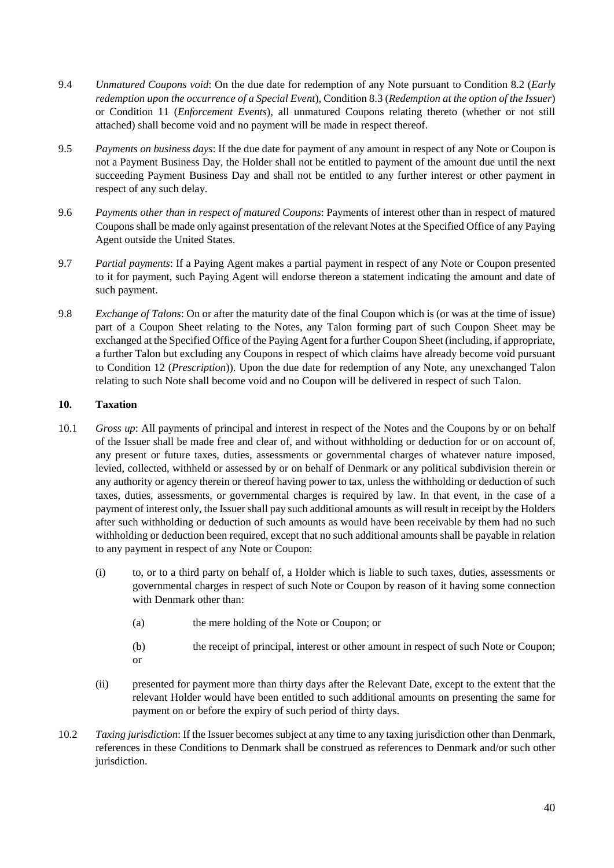- 9.4 *Unmatured Coupons void*: On the due date for redemption of any Note pursuant to Condition 8.2 (*Early redemption upon the occurrence of a Special Event*), Condition 8.3 (*Redemption at the option of the Issuer*) or Condition 11 (*Enforcement Events*), all unmatured Coupons relating thereto (whether or not still attached) shall become void and no payment will be made in respect thereof.
- 9.5 *Payments on business days*: If the due date for payment of any amount in respect of any Note or Coupon is not a Payment Business Day, the Holder shall not be entitled to payment of the amount due until the next succeeding Payment Business Day and shall not be entitled to any further interest or other payment in respect of any such delay.
- <span id="page-39-0"></span>9.6 *Payments other than in respect of matured Coupons*: Payments of interest other than in respect of matured Coupons shall be made only against presentation of the relevant Notes at the Specified Office of any Paying Agent outside the United States.
- 9.7 *Partial payments*: If a Paying Agent makes a partial payment in respect of any Note or Coupon presented to it for payment, such Paying Agent will endorse thereon a statement indicating the amount and date of such payment.
- 9.8 *Exchange of Talons*: On or after the maturity date of the final Coupon which is (or was at the time of issue) part of a Coupon Sheet relating to the Notes, any Talon forming part of such Coupon Sheet may be exchanged at the Specified Office of the Paying Agent for a further Coupon Sheet (including, if appropriate, a further Talon but excluding any Coupons in respect of which claims have already become void pursuant to Condition 12 (*Prescription*)). Upon the due date for redemption of any Note, any unexchanged Talon relating to such Note shall become void and no Coupon will be delivered in respect of such Talon.

### **10. Taxation**

- 10.1 *Gross up*: All payments of principal and interest in respect of the Notes and the Coupons by or on behalf of the Issuer shall be made free and clear of, and without withholding or deduction for or on account of, any present or future taxes, duties, assessments or governmental charges of whatever nature imposed, levied, collected, withheld or assessed by or on behalf of Denmark or any political subdivision therein or any authority or agency therein or thereof having power to tax, unless the withholding or deduction of such taxes, duties, assessments, or governmental charges is required by law. In that event, in the case of a payment of interest only, the Issuer shall pay such additional amounts as will result in receipt by the Holders after such withholding or deduction of such amounts as would have been receivable by them had no such withholding or deduction been required, except that no such additional amounts shall be payable in relation to any payment in respect of any Note or Coupon:
	- (i) to, or to a third party on behalf of, a Holder which is liable to such taxes, duties, assessments or governmental charges in respect of such Note or Coupon by reason of it having some connection with Denmark other than:
		- (a) the mere holding of the Note or Coupon; or
		- (b) the receipt of principal, interest or other amount in respect of such Note or Coupon; or
	- (ii) presented for payment more than thirty days after the Relevant Date, except to the extent that the relevant Holder would have been entitled to such additional amounts on presenting the same for payment on or before the expiry of such period of thirty days.
- 10.2 *Taxing jurisdiction*: If the Issuer becomes subject at any time to any taxing jurisdiction other than Denmark, references in these Conditions to Denmark shall be construed as references to Denmark and/or such other jurisdiction.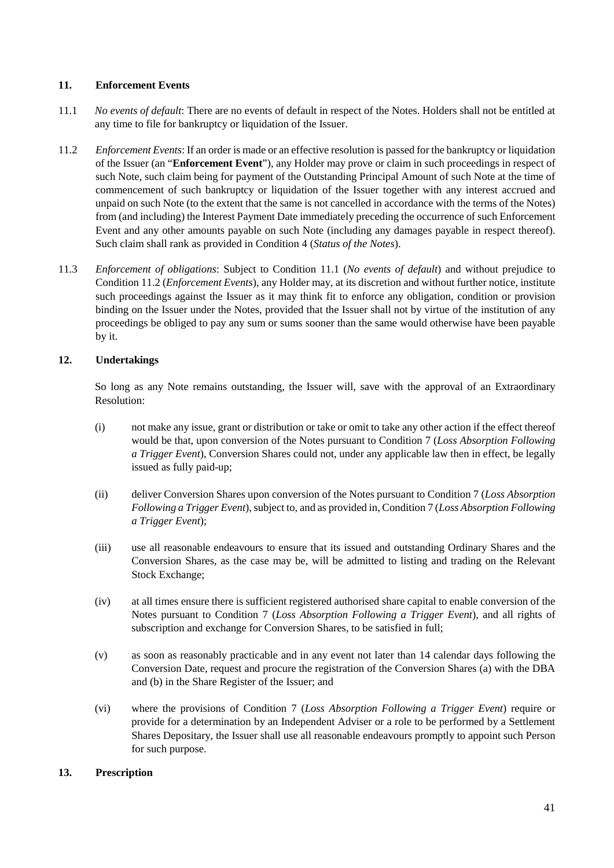### **11. Enforcement Events**

- 11.1 *No events of default*: There are no events of default in respect of the Notes. Holders shall not be entitled at any time to file for bankruptcy or liquidation of the Issuer.
- 11.2 *Enforcement Events*: If an order is made or an effective resolution is passed for the bankruptcy or liquidation of the Issuer (an "**Enforcement Event**"), any Holder may prove or claim in such proceedings in respect of such Note, such claim being for payment of the Outstanding Principal Amount of such Note at the time of commencement of such bankruptcy or liquidation of the Issuer together with any interest accrued and unpaid on such Note (to the extent that the same is not cancelled in accordance with the terms of the Notes) from (and including) the Interest Payment Date immediately preceding the occurrence of such Enforcement Event and any other amounts payable on such Note (including any damages payable in respect thereof). Such claim shall rank as provided in Condition 4 (*Status of the Notes*).
- 11.3 *Enforcement of obligations*: Subject to Condition 11.1 (*No events of default*) and without prejudice to Condition 11.2 (*Enforcement Events*), any Holder may, at its discretion and without further notice, institute such proceedings against the Issuer as it may think fit to enforce any obligation, condition or provision binding on the Issuer under the Notes, provided that the Issuer shall not by virtue of the institution of any proceedings be obliged to pay any sum or sums sooner than the same would otherwise have been payable by it.

## **12. Undertakings**

So long as any Note remains outstanding, the Issuer will, save with the approval of an Extraordinary Resolution:

- (i) not make any issue, grant or distribution or take or omit to take any other action if the effect thereof would be that, upon conversion of the Notes pursuant to Condition 7 (*Loss Absorption Following a Trigger Event*), Conversion Shares could not, under any applicable law then in effect, be legally issued as fully paid-up;
- (ii) deliver Conversion Shares upon conversion of the Notes pursuant to Condition 7 (*Loss Absorption Following a Trigger Event*), subject to, and as provided in, Condition 7 (*Loss Absorption Following a Trigger Event*);
- (iii) use all reasonable endeavours to ensure that its issued and outstanding Ordinary Shares and the Conversion Shares, as the case may be, will be admitted to listing and trading on the Relevant Stock Exchange;
- (iv) at all times ensure there is sufficient registered authorised share capital to enable conversion of the Notes pursuant to Condition 7 (*Loss Absorption Following a Trigger Event*), and all rights of subscription and exchange for Conversion Shares, to be satisfied in full;
- (v) as soon as reasonably practicable and in any event not later than 14 calendar days following the Conversion Date, request and procure the registration of the Conversion Shares (a) with the DBA and (b) in the Share Register of the Issuer; and
- (vi) where the provisions of Condition 7 (*Loss Absorption Following a Trigger Event*) require or provide for a determination by an Independent Adviser or a role to be performed by a Settlement Shares Depositary, the Issuer shall use all reasonable endeavours promptly to appoint such Person for such purpose.

### **13. Prescription**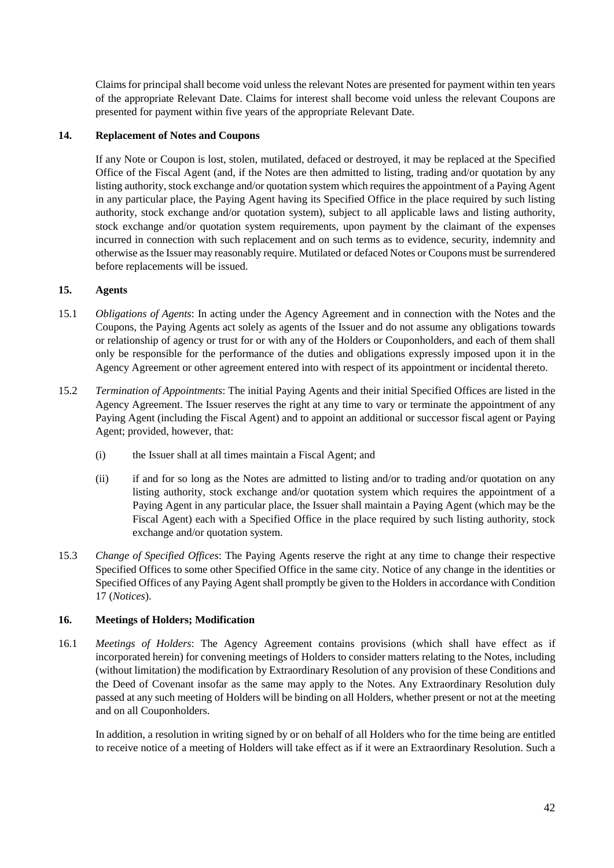Claims for principal shall become void unless the relevant Notes are presented for payment within ten years of the appropriate Relevant Date. Claims for interest shall become void unless the relevant Coupons are presented for payment within five years of the appropriate Relevant Date.

### **14. Replacement of Notes and Coupons**

If any Note or Coupon is lost, stolen, mutilated, defaced or destroyed, it may be replaced at the Specified Office of the Fiscal Agent (and, if the Notes are then admitted to listing, trading and/or quotation by any listing authority, stock exchange and/or quotation system which requires the appointment of a Paying Agent in any particular place, the Paying Agent having its Specified Office in the place required by such listing authority, stock exchange and/or quotation system), subject to all applicable laws and listing authority, stock exchange and/or quotation system requirements, upon payment by the claimant of the expenses incurred in connection with such replacement and on such terms as to evidence, security, indemnity and otherwise as the Issuer may reasonably require. Mutilated or defaced Notes or Coupons must be surrendered before replacements will be issued.

### **15. Agents**

- 15.1 *Obligations of Agents*: In acting under the Agency Agreement and in connection with the Notes and the Coupons, the Paying Agents act solely as agents of the Issuer and do not assume any obligations towards or relationship of agency or trust for or with any of the Holders or Couponholders, and each of them shall only be responsible for the performance of the duties and obligations expressly imposed upon it in the Agency Agreement or other agreement entered into with respect of its appointment or incidental thereto.
- 15.2 *Termination of Appointments*: The initial Paying Agents and their initial Specified Offices are listed in the Agency Agreement. The Issuer reserves the right at any time to vary or terminate the appointment of any Paying Agent (including the Fiscal Agent) and to appoint an additional or successor fiscal agent or Paying Agent; provided, however, that:
	- (i) the Issuer shall at all times maintain a Fiscal Agent; and
	- (ii) if and for so long as the Notes are admitted to listing and/or to trading and/or quotation on any listing authority, stock exchange and/or quotation system which requires the appointment of a Paying Agent in any particular place, the Issuer shall maintain a Paying Agent (which may be the Fiscal Agent) each with a Specified Office in the place required by such listing authority, stock exchange and/or quotation system.
- 15.3 *Change of Specified Offices*: The Paying Agents reserve the right at any time to change their respective Specified Offices to some other Specified Office in the same city. Notice of any change in the identities or Specified Offices of any Paying Agent shall promptly be given to the Holders in accordance with Condition [17](#page-42-0) (*Notices*).

### **16. Meetings of Holders; Modification**

16.1 *Meetings of Holders*: The Agency Agreement contains provisions (which shall have effect as if incorporated herein) for convening meetings of Holders to consider matters relating to the Notes, including (without limitation) the modification by Extraordinary Resolution of any provision of these Conditions and the Deed of Covenant insofar as the same may apply to the Notes. Any Extraordinary Resolution duly passed at any such meeting of Holders will be binding on all Holders, whether present or not at the meeting and on all Couponholders.

In addition, a resolution in writing signed by or on behalf of all Holders who for the time being are entitled to receive notice of a meeting of Holders will take effect as if it were an Extraordinary Resolution. Such a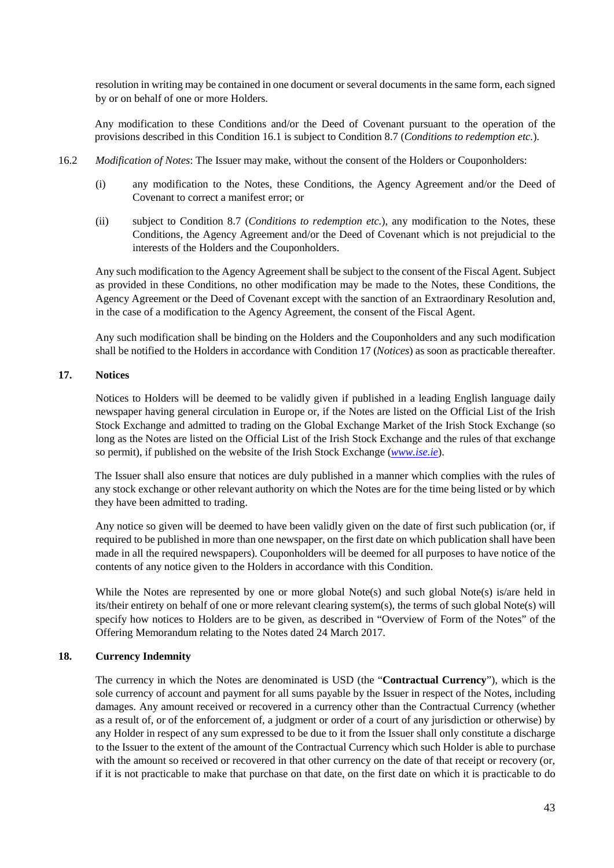resolution in writing may be contained in one document or several documents in the same form, each signed by or on behalf of one or more Holders.

Any modification to these Conditions and/or the Deed of Covenant pursuant to the operation of the provisions described in this Condition 16.1 is subject to Condition 8.7 (*Conditions to redemption etc.*).

- 16.2 *Modification of Notes*: The Issuer may make, without the consent of the Holders or Couponholders:
	- (i) any modification to the Notes, these Conditions, the Agency Agreement and/or the Deed of Covenant to correct a manifest error; or
	- (ii) subject to Condition [8.7](#page-38-0) (*Conditions to redemption etc.*), any modification to the Notes, these Conditions, the Agency Agreement and/or the Deed of Covenant which is not prejudicial to the interests of the Holders and the Couponholders.

Any such modification to the Agency Agreement shall be subject to the consent of the Fiscal Agent. Subject as provided in these Conditions, no other modification may be made to the Notes, these Conditions, the Agency Agreement or the Deed of Covenant except with the sanction of an Extraordinary Resolution and, in the case of a modification to the Agency Agreement, the consent of the Fiscal Agent.

Any such modification shall be binding on the Holders and the Couponholders and any such modification shall be notified to the Holders in accordance with Condition [17](#page-42-0) (*Notices*) as soon as practicable thereafter.

### <span id="page-42-0"></span>**17. Notices**

Notices to Holders will be deemed to be validly given if published in a leading English language daily newspaper having general circulation in Europe or, if the Notes are listed on the Official List of the Irish Stock Exchange and admitted to trading on the Global Exchange Market of the Irish Stock Exchange (so long as the Notes are listed on the Official List of the Irish Stock Exchange and the rules of that exchange so permit), if published on the website of the Irish Stock Exchange (*[www.ise.ie](http://www.ise.ie/)*).

The Issuer shall also ensure that notices are duly published in a manner which complies with the rules of any stock exchange or other relevant authority on which the Notes are for the time being listed or by which they have been admitted to trading.

Any notice so given will be deemed to have been validly given on the date of first such publication (or, if required to be published in more than one newspaper, on the first date on which publication shall have been made in all the required newspapers). Couponholders will be deemed for all purposes to have notice of the contents of any notice given to the Holders in accordance with this Condition.

While the Notes are represented by one or more global Note(s) and such global Note(s) is/are held in its/their entirety on behalf of one or more relevant clearing system(s), the terms of such global Note(s) will specify how notices to Holders are to be given, as described in "Overview of Form of the Notes" of the Offering Memorandum relating to the Notes dated 24 March 2017.

### <span id="page-42-1"></span>**18. Currency Indemnity**

The currency in which the Notes are denominated is USD (the "**Contractual Currency**"), which is the sole currency of account and payment for all sums payable by the Issuer in respect of the Notes, including damages. Any amount received or recovered in a currency other than the Contractual Currency (whether as a result of, or of the enforcement of, a judgment or order of a court of any jurisdiction or otherwise) by any Holder in respect of any sum expressed to be due to it from the Issuer shall only constitute a discharge to the Issuer to the extent of the amount of the Contractual Currency which such Holder is able to purchase with the amount so received or recovered in that other currency on the date of that receipt or recovery (or, if it is not practicable to make that purchase on that date, on the first date on which it is practicable to do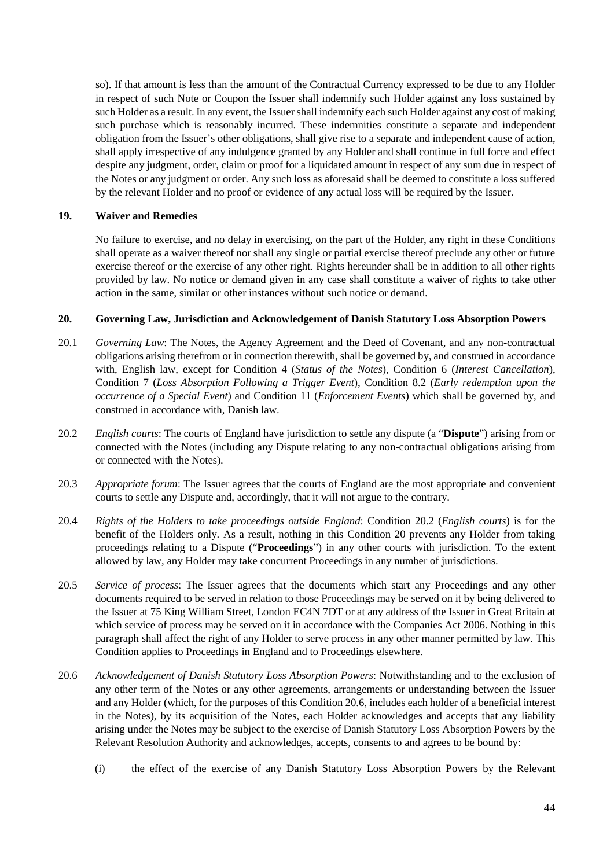so). If that amount is less than the amount of the Contractual Currency expressed to be due to any Holder in respect of such Note or Coupon the Issuer shall indemnify such Holder against any loss sustained by such Holder as a result. In any event, the Issuer shall indemnify each such Holder against any cost of making such purchase which is reasonably incurred. These indemnities constitute a separate and independent obligation from the Issuer's other obligations, shall give rise to a separate and independent cause of action, shall apply irrespective of any indulgence granted by any Holder and shall continue in full force and effect despite any judgment, order, claim or proof for a liquidated amount in respect of any sum due in respect of the Notes or any judgment or order. Any such loss as aforesaid shall be deemed to constitute a loss suffered by the relevant Holder and no proof or evidence of any actual loss will be required by the Issuer.

### **19. Waiver and Remedies**

No failure to exercise, and no delay in exercising, on the part of the Holder, any right in these Conditions shall operate as a waiver thereof nor shall any single or partial exercise thereof preclude any other or future exercise thereof or the exercise of any other right. Rights hereunder shall be in addition to all other rights provided by law. No notice or demand given in any case shall constitute a waiver of rights to take other action in the same, similar or other instances without such notice or demand.

#### <span id="page-43-1"></span>**20. Governing Law, Jurisdiction and Acknowledgement of Danish Statutory Loss Absorption Powers**

- 20.1 *Governing Law*: The Notes, the Agency Agreement and the Deed of Covenant, and any non-contractual obligations arising therefrom or in connection therewith, shall be governed by, and construed in accordance with, English law, except for Condition 4 (*Status of the Notes*), Condition 6 (*Interest Cancellation*), Condition 7 (*Loss Absorption Following a Trigger Event*), Condition 8.2 (*Early redemption upon the occurrence of a Special Event*) and Condition 11 (*Enforcement Events*) which shall be governed by, and construed in accordance with, Danish law.
- <span id="page-43-0"></span>20.2 *English courts*: The courts of England have jurisdiction to settle any dispute (a "**Dispute**") arising from or connected with the Notes (including any Dispute relating to any non-contractual obligations arising from or connected with the Notes).
- 20.3 *Appropriate forum*: The Issuer agrees that the courts of England are the most appropriate and convenient courts to settle any Dispute and, accordingly, that it will not argue to the contrary.
- 20.4 *Rights of the Holders to take proceedings outside England*: Condition [20.2](#page-43-0) (*English courts*) is for the benefit of the Holders only. As a result, nothing in this Condition [20](#page-43-1) prevents any Holder from taking proceedings relating to a Dispute ("**Proceedings**") in any other courts with jurisdiction. To the extent allowed by law, any Holder may take concurrent Proceedings in any number of jurisdictions.
- 20.5 *Service of process*: The Issuer agrees that the documents which start any Proceedings and any other documents required to be served in relation to those Proceedings may be served on it by being delivered to the Issuer at 75 King William Street, London EC4N 7DT or at any address of the Issuer in Great Britain at which service of process may be served on it in accordance with the Companies Act 2006. Nothing in this paragraph shall affect the right of any Holder to serve process in any other manner permitted by law. This Condition applies to Proceedings in England and to Proceedings elsewhere.
- 20.6 *Acknowledgement of Danish Statutory Loss Absorption Powers*: Notwithstanding and to the exclusion of any other term of the Notes or any other agreements, arrangements or understanding between the Issuer and any Holder (which, for the purposes of this Condition 20.6, includes each holder of a beneficial interest in the Notes), by its acquisition of the Notes, each Holder acknowledges and accepts that any liability arising under the Notes may be subject to the exercise of Danish Statutory Loss Absorption Powers by the Relevant Resolution Authority and acknowledges, accepts, consents to and agrees to be bound by:
	- (i) the effect of the exercise of any Danish Statutory Loss Absorption Powers by the Relevant